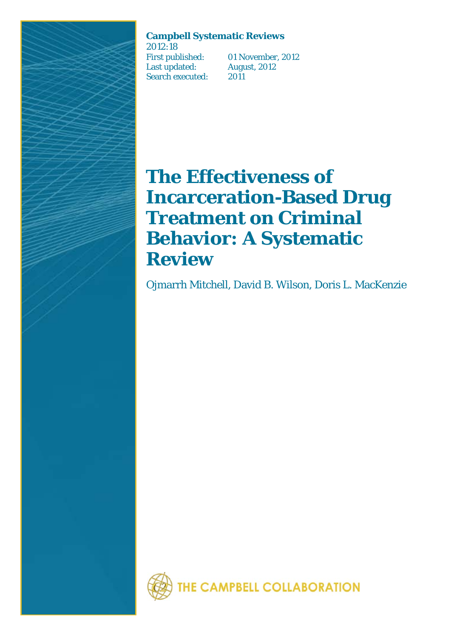### **Campbell Systematic Reviews**

2012:18 Last updated: Augu<br>Search executed: 2011 Search executed:

First published: 01 November, 2012<br>Last updated: August, 2012

# **The Effectiveness of Incarceration-Based Drug Treatment on Criminal Behavior: A Systematic Review**

Ojmarrh Mitchell, David B. Wilson, Doris L. MacKenzie

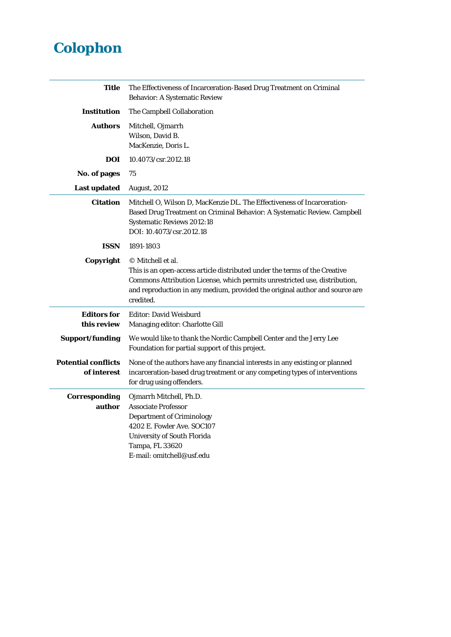## **Colophon**

| Title                                     | The Effectiveness of Incarceration-Based Drug Treatment on Criminal<br><b>Behavior: A Systematic Review</b>                                                                                                                                                               |
|-------------------------------------------|---------------------------------------------------------------------------------------------------------------------------------------------------------------------------------------------------------------------------------------------------------------------------|
| <b>Institution</b>                        | The Campbell Collaboration                                                                                                                                                                                                                                                |
| <b>Authors</b>                            | Mitchell, Ojmarrh<br>Wilson, David B.<br>MacKenzie, Doris L.                                                                                                                                                                                                              |
| DOI                                       | 10.4073/csr.2012.18                                                                                                                                                                                                                                                       |
| No. of pages                              | 75                                                                                                                                                                                                                                                                        |
| <b>Last updated</b>                       | August, 2012                                                                                                                                                                                                                                                              |
| <b>Citation</b>                           | Mitchell O, Wilson D, MacKenzie DL. The Effectiveness of Incarceration-<br>Based Drug Treatment on Criminal Behavior: A Systematic Review. Campbell<br><b>Systematic Reviews 2012:18</b><br>DOI: 10.4073/csr.2012.18                                                      |
| <b>ISSN</b>                               | 1891-1803                                                                                                                                                                                                                                                                 |
| Copyright                                 | © Mitchell et al.<br>This is an open-access article distributed under the terms of the Creative<br>Commons Attribution License, which permits unrestricted use, distribution,<br>and reproduction in any medium, provided the original author and source are<br>credited. |
| <b>Editors for</b><br>this review         | <b>Editor: David Weisburd</b><br>Managing editor: Charlotte Gill                                                                                                                                                                                                          |
| <b>Support/funding</b>                    | We would like to thank the Nordic Campbell Center and the Jerry Lee<br>Foundation for partial support of this project.                                                                                                                                                    |
| <b>Potential conflicts</b><br>of interest | None of the authors have any financial interests in any existing or planned<br>incarceration-based drug treatment or any competing types of interventions<br>for drug using offenders.                                                                                    |
| <b>Corresponding</b><br>author            | Ojmarrh Mitchell, Ph.D.<br><b>Associate Professor</b><br><b>Department of Criminology</b><br>4202 E. Fowler Ave. SOC107<br><b>University of South Florida</b><br>Tampa, FL 33620<br>E-mail: omitchell@usf.edu                                                             |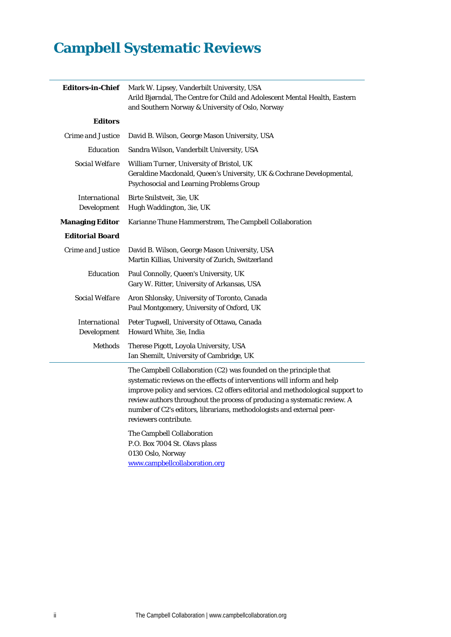## **Campbell Systematic Reviews**

| <b>Editors-in-Chief</b>             | Mark W. Lipsey, Vanderbilt University, USA<br>Arild Bjørndal, The Centre for Child and Adolescent Mental Health, Eastern<br>and Southern Norway & University of Oslo, Norway                                                                                                                                                                                                                                  |
|-------------------------------------|---------------------------------------------------------------------------------------------------------------------------------------------------------------------------------------------------------------------------------------------------------------------------------------------------------------------------------------------------------------------------------------------------------------|
| <b>Editors</b>                      |                                                                                                                                                                                                                                                                                                                                                                                                               |
| <b>Crime and Justice</b>            | David B. Wilson, George Mason University, USA                                                                                                                                                                                                                                                                                                                                                                 |
| Education                           | Sandra Wilson, Vanderbilt University, USA                                                                                                                                                                                                                                                                                                                                                                     |
| <b>Social Welfare</b>               | William Turner, University of Bristol, UK<br>Geraldine Macdonald, Queen's University, UK & Cochrane Developmental,<br><b>Psychosocial and Learning Problems Group</b>                                                                                                                                                                                                                                         |
| <b>International</b><br>Development | Birte Snilstveit, 3ie, UK<br>Hugh Waddington, 3ie, UK                                                                                                                                                                                                                                                                                                                                                         |
| <b>Managing Editor</b>              | Karianne Thune Hammerstrøm, The Campbell Collaboration                                                                                                                                                                                                                                                                                                                                                        |
| <b>Editorial Board</b>              |                                                                                                                                                                                                                                                                                                                                                                                                               |
| <i>Crime and Justice</i>            | David B. Wilson, George Mason University, USA<br>Martin Killias, University of Zurich, Switzerland                                                                                                                                                                                                                                                                                                            |
| Education                           | Paul Connolly, Queen's University, UK<br>Gary W. Ritter, University of Arkansas, USA                                                                                                                                                                                                                                                                                                                          |
| Social Welfare                      | Aron Shlonsky, University of Toronto, Canada<br>Paul Montgomery, University of Oxford, UK                                                                                                                                                                                                                                                                                                                     |
| <b>International</b><br>Development | Peter Tugwell, University of Ottawa, Canada<br>Howard White, 3ie, India                                                                                                                                                                                                                                                                                                                                       |
| <b>Methods</b>                      | Therese Pigott, Loyola University, USA<br>Ian Shemilt, University of Cambridge, UK                                                                                                                                                                                                                                                                                                                            |
|                                     | The Campbell Collaboration (C2) was founded on the principle that<br>systematic reviews on the effects of interventions will inform and help<br>improve policy and services. C2 offers editorial and methodological support to<br>review authors throughout the process of producing a systematic review. A<br>number of C2's editors, librarians, methodologists and external peer-<br>reviewers contribute. |
|                                     | The Campbell Collaboration<br>P.O. Box 7004 St. Olavs plass<br>0130 Oslo, Norway<br>www.campbellcollaboration.org                                                                                                                                                                                                                                                                                             |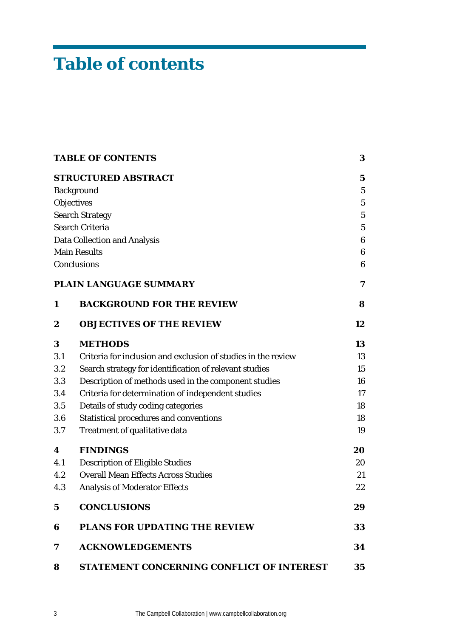# **Table of contents**

| <b>TABLE OF CONTENTS</b> |                                                               | 3               |  |
|--------------------------|---------------------------------------------------------------|-----------------|--|
|                          | STRUCTURED ABSTRACT                                           | $\mathbf 5$     |  |
|                          | <b>Background</b>                                             |                 |  |
|                          | Objectives                                                    |                 |  |
|                          | <b>Search Strategy</b>                                        | $\mathbf 5$     |  |
|                          | <b>Search Criteria</b>                                        | $\mathbf 5$     |  |
|                          | <b>Data Collection and Analysis</b>                           | 6               |  |
| <b>Main Results</b>      |                                                               | $6\phantom{1}6$ |  |
|                          | Conclusions                                                   | 6               |  |
|                          | PLAIN LANGUAGE SUMMARY                                        | 7               |  |
| 1                        | <b>BACKGROUND FOR THE REVIEW</b>                              | 8               |  |
| $\boldsymbol{2}$         | <b>OBJECTIVES OF THE REVIEW</b>                               | 12              |  |
| 3                        | <b>METHODS</b>                                                | 13              |  |
| 3.1                      | Criteria for inclusion and exclusion of studies in the review | 13              |  |
| 3.2                      | Search strategy for identification of relevant studies        | 15              |  |
| 3.3                      | Description of methods used in the component studies          | 16              |  |
| 3.4                      | Criteria for determination of independent studies             | 17              |  |
| 3.5                      | Details of study coding categories                            | 18              |  |
| 3.6                      | <b>Statistical procedures and conventions</b>                 | 18              |  |
| 3.7                      | Treatment of qualitative data                                 | 19              |  |
| 4                        | <b>FINDINGS</b>                                               | 20              |  |
| 4.1                      | <b>Description of Eligible Studies</b>                        | 20              |  |
| 4.2                      | <b>Overall Mean Effects Across Studies</b>                    | 21              |  |
| 4.3                      | <b>Analysis of Moderator Effects</b>                          | 22              |  |
| 5                        | <b>CONCLUSIONS</b>                                            | 29              |  |
| 6                        | <b>PLANS FOR UPDATING THE REVIEW</b>                          | 33              |  |
| 7                        | <b>ACKNOWLEDGEMENTS</b>                                       | 34              |  |
| 8                        | STATEMENT CONCERNING CONFLICT OF INTEREST                     | 35              |  |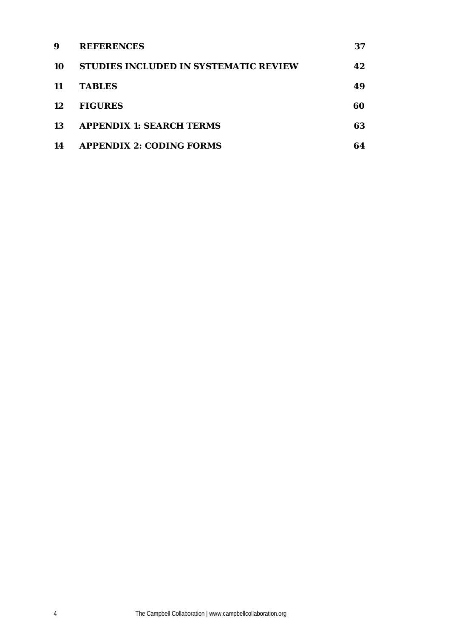| 9  | <b>REFERENCES</b>                            | 37 |
|----|----------------------------------------------|----|
| 10 | <b>STUDIES INCLUDED IN SYSTEMATIC REVIEW</b> | 42 |
| 11 | <b>TABLES</b>                                | 49 |
| 12 | <b>FIGURES</b>                               | 60 |
| 13 | <b>APPENDIX 1: SEARCH TERMS</b>              | 63 |
| 14 | <b>APPENDIX 2: CODING FORMS</b>              | 64 |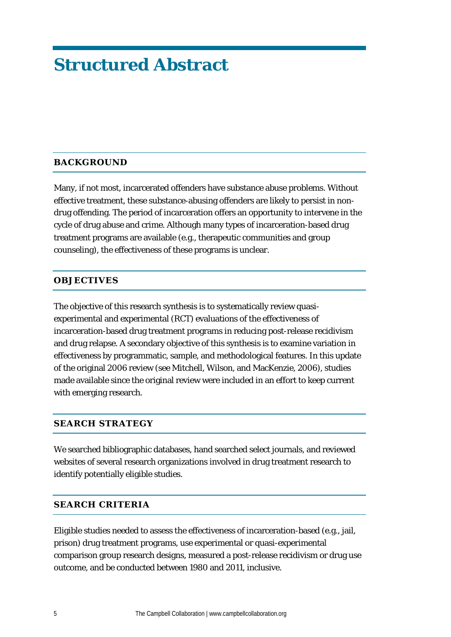## **Structured Abstract**

### **BACKGROUND**

Many, if not most, incarcerated offenders have substance abuse problems. Without effective treatment, these substance-abusing offenders are likely to persist in nondrug offending. The period of incarceration offers an opportunity to intervene in the cycle of drug abuse and crime. Although many types of incarceration-based drug treatment programs are available (e.g., therapeutic communities and group counseling), the effectiveness of these programs is unclear.

### **OBJECTIVES**

The objective of this research synthesis is to systematically review quasiexperimental and experimental (RCT) evaluations of the effectiveness of incarceration-based drug treatment programs in reducing post-release recidivism and drug relapse. A secondary objective of this synthesis is to examine variation in effectiveness by programmatic, sample, and methodological features. In this update of the original 2006 review (see Mitchell, Wilson, and MacKenzie, 2006), studies made available since the original review were included in an effort to keep current with emerging research.

### **SEARCH STRATEGY**

We searched bibliographic databases, hand searched select journals, and reviewed websites of several research organizations involved in drug treatment research to identify potentially eligible studies.

### **SEARCH CRITERIA**

Eligible studies needed to assess the effectiveness of incarceration-based (e.g., jail, prison) drug treatment programs, use experimental or quasi-experimental comparison group research designs, measured a post-release recidivism or drug use outcome, and be conducted between 1980 and 2011, inclusive.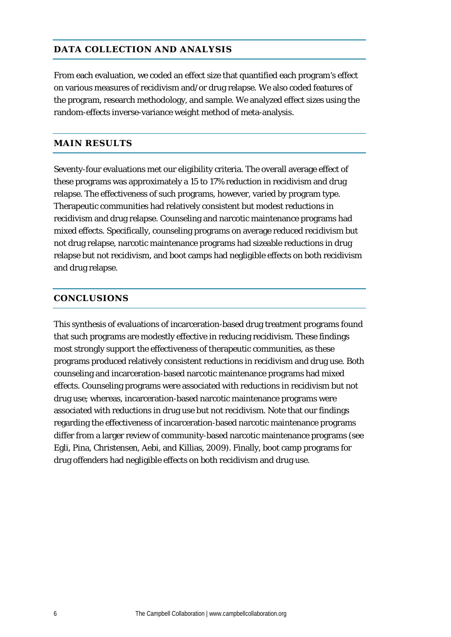### **DATA COLLECTION AND ANALYSIS**

From each evaluation, we coded an effect size that quantified each program's effect on various measures of recidivism and/or drug relapse. We also coded features of the program, research methodology, and sample. We analyzed effect sizes using the random-effects inverse-variance weight method of meta-analysis.

### **MAIN RESULTS**

Seventy-four evaluations met our eligibility criteria. The overall average effect of these programs was approximately a 15 to 17% reduction in recidivism and drug relapse. The effectiveness of such programs, however, varied by program type. Therapeutic communities had relatively consistent but modest reductions in recidivism and drug relapse. Counseling and narcotic maintenance programs had mixed effects. Specifically, counseling programs on average reduced recidivism but not drug relapse, narcotic maintenance programs had sizeable reductions in drug relapse but not recidivism, and boot camps had negligible effects on both recidivism and drug relapse.

#### **CONCLUSIONS**

This synthesis of evaluations of incarceration-based drug treatment programs found that such programs are modestly effective in reducing recidivism. These findings most strongly support the effectiveness of therapeutic communities, as these programs produced relatively consistent reductions in recidivism and drug use. Both counseling and incarceration-based narcotic maintenance programs had mixed effects. Counseling programs were associated with reductions in recidivism but not drug use; whereas, incarceration-based narcotic maintenance programs were associated with reductions in drug use but not recidivism. Note that our findings regarding the effectiveness of incarceration-based narcotic maintenance programs differ from a larger review of community-based narcotic maintenance programs (see Egli, Pina, Christensen, Aebi, and Killias, 2009). Finally, boot camp programs for drug offenders had negligible effects on both recidivism and drug use.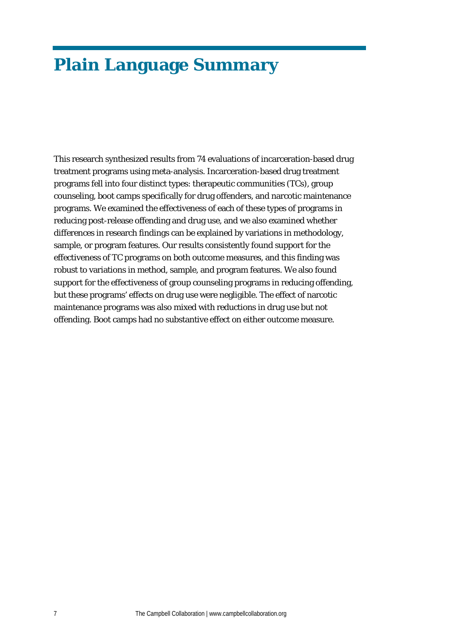## **Plain Language Summary**

This research synthesized results from 74 evaluations of incarceration-based drug treatment programs using meta-analysis. Incarceration-based drug treatment programs fell into four distinct types: therapeutic communities (TCs), group counseling, boot camps specifically for drug offenders, and narcotic maintenance programs. We examined the effectiveness of each of these types of programs in reducing post-release offending and drug use, and we also examined whether differences in research findings can be explained by variations in methodology, sample, or program features. Our results consistently found support for the effectiveness of TC programs on both outcome measures, and this finding was robust to variations in method, sample, and program features. We also found support for the effectiveness of group counseling programs in reducing offending, but these programs' effects on drug use were negligible. The effect of narcotic maintenance programs was also mixed with reductions in drug use but not offending. Boot camps had no substantive effect on either outcome measure.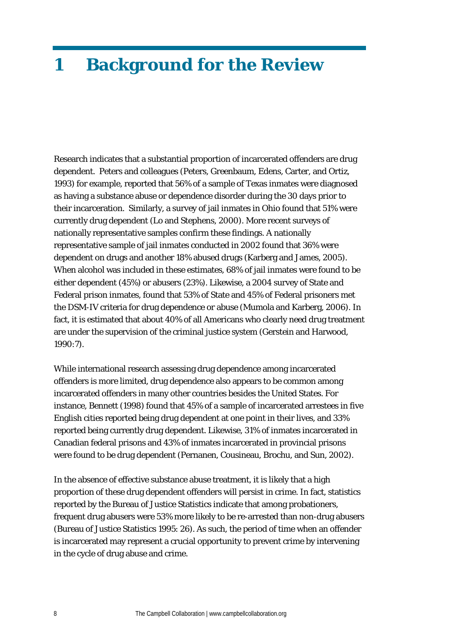## **1 Background for the Review**

Research indicates that a substantial proportion of incarcerated offenders are drug dependent. Peters and colleagues (Peters, Greenbaum, Edens, Carter, and Ortiz, 1993) for example, reported that 56% of a sample of Texas inmates were diagnosed as having a substance abuse or dependence disorder during the 30 days prior to their incarceration. Similarly, a survey of jail inmates in Ohio found that 51% were currently drug dependent (Lo and Stephens, 2000). More recent surveys of nationally representative samples confirm these findings. A nationally representative sample of jail inmates conducted in 2002 found that 36% were dependent on drugs and another 18% abused drugs (Karberg and James, 2005). When alcohol was included in these estimates, 68% of jail inmates were found to be either dependent (45%) or abusers (23%). Likewise, a 2004 survey of State and Federal prison inmates, found that 53% of State and 45% of Federal prisoners met the DSM-IV criteria for drug dependence or abuse (Mumola and Karberg, 2006). In fact, it is estimated that about 40% of all Americans who clearly need drug treatment are under the supervision of the criminal justice system (Gerstein and Harwood, 1990:7).

While international research assessing drug dependence among incarcerated offenders is more limited, drug dependence also appears to be common among incarcerated offenders in many other countries besides the United States. For instance, Bennett (1998) found that 45% of a sample of incarcerated arrestees in five English cities reported being drug dependent at one point in their lives, and 33% reported being currently drug dependent. Likewise, 31% of inmates incarcerated in Canadian federal prisons and 43% of inmates incarcerated in provincial prisons were found to be drug dependent (Pernanen, Cousineau, Brochu, and Sun, 2002).

In the absence of effective substance abuse treatment, it is likely that a high proportion of these drug dependent offenders will persist in crime. In fact, statistics reported by the Bureau of Justice Statistics indicate that among probationers, frequent drug abusers were 53% more likely to be re-arrested than non-drug abusers (Bureau of Justice Statistics 1995: 26). As such, the period of time when an offender is incarcerated may represent a crucial opportunity to prevent crime by intervening in the cycle of drug abuse and crime.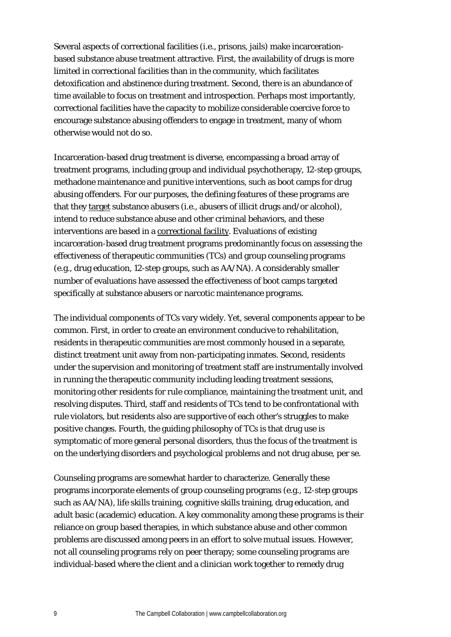Several aspects of correctional facilities (i.e., prisons, jails) make incarcerationbased substance abuse treatment attractive. First, the availability of drugs is more limited in correctional facilities than in the community, which facilitates detoxification and abstinence during treatment. Second, there is an abundance of time available to focus on treatment and introspection. Perhaps most importantly, correctional facilities have the capacity to mobilize considerable coercive force to encourage substance abusing offenders to engage in treatment, many of whom otherwise would not do so.

Incarceration-based drug treatment is diverse, encompassing a broad array of treatment programs, including group and individual psychotherapy, 12-step groups, methadone maintenance and punitive interventions, such as boot camps for drug abusing offenders. For our purposes, the defining features of these programs are that they target substance abusers (i.e., abusers of illicit drugs and/or alcohol), intend to reduce substance abuse and other criminal behaviors, and these interventions are based in a correctional facility. Evaluations of existing incarceration-based drug treatment programs predominantly focus on assessing the effectiveness of therapeutic communities (TCs) and group counseling programs (e.g., drug education, 12-step groups, such as AA/NA). A considerably smaller number of evaluations have assessed the effectiveness of boot camps targeted specifically at substance abusers or narcotic maintenance programs.

The individual components of TCs vary widely. Yet, several components appear to be common. First, in order to create an environment conducive to rehabilitation, residents in therapeutic communities are most commonly housed in a separate, distinct treatment unit away from non-participating inmates. Second, residents under the supervision and monitoring of treatment staff are instrumentally involved in running the therapeutic community including leading treatment sessions, monitoring other residents for rule compliance, maintaining the treatment unit, and resolving disputes. Third, staff and residents of TCs tend to be confrontational with rule violators, but residents also are supportive of each other's struggles to make positive changes. Fourth, the guiding philosophy of TCs is that drug use is symptomatic of more general personal disorders, thus the focus of the treatment is on the underlying disorders and psychological problems and not drug abuse, per se.

Counseling programs are somewhat harder to characterize. Generally these programs incorporate elements of group counseling programs (e.g., 12-step groups such as AA/NA), life skills training, cognitive skills training, drug education, and adult basic (academic) education. A key commonality among these programs is their reliance on group based therapies, in which substance abuse and other common problems are discussed among peers in an effort to solve mutual issues. However, not all counseling programs rely on peer therapy; some counseling programs are individual-based where the client and a clinician work together to remedy drug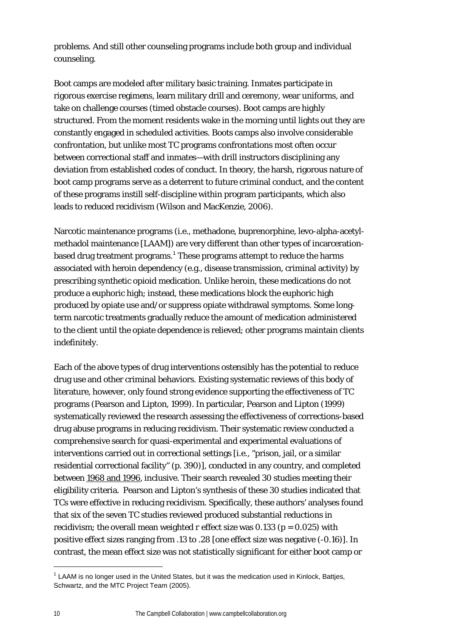problems. And still other counseling programs include both group and individual counseling.

Boot camps are modeled after military basic training. Inmates participate in rigorous exercise regimens, learn military drill and ceremony, wear uniforms, and take on challenge courses (timed obstacle courses). Boot camps are highly structured. From the moment residents wake in the morning until lights out they are constantly engaged in scheduled activities. Boots camps also involve considerable confrontation, but unlike most TC programs confrontations most often occur between correctional staff and inmates—with drill instructors disciplining any deviation from established codes of conduct. In theory, the harsh, rigorous nature of boot camp programs serve as a deterrent to future criminal conduct, and the content of these programs instill self-discipline within program participants, which also leads to reduced recidivism (Wilson and MacKenzie, 2006).

<span id="page-10-0"></span>Narcotic maintenance programs (i.e., methadone, buprenorphine, levo-alpha-acetylmethadol maintenance [LAAM]) are very different than other types of incarceration-based drug treatment programs.<sup>[1](#page-10-0)</sup> These programs attempt to reduce the harms associated with heroin dependency (e.g., disease transmission, criminal activity) by prescribing synthetic opioid medication. Unlike heroin, these medications do not produce a euphoric high; instead, these medications block the euphoric high produced by opiate use and/or suppress opiate withdrawal symptoms. Some longterm narcotic treatments gradually reduce the amount of medication administered to the client until the opiate dependence is relieved; other programs maintain clients indefinitely.

Each of the above types of drug interventions ostensibly has the potential to reduce drug use and other criminal behaviors. Existing systematic reviews of this body of literature, however, only found strong evidence supporting the effectiveness of TC programs (Pearson and Lipton, 1999). In particular, Pearson and Lipton (1999) systematically reviewed the research assessing the effectiveness of corrections-based drug abuse programs in reducing recidivism. Their systematic review conducted a comprehensive search for quasi-experimental and experimental evaluations of interventions carried out in correctional settings [i.e., "prison, jail, or a similar residential correctional facility" (p. 390)], conducted in any country, and completed between 1968 and 1996, inclusive. Their search revealed 30 studies meeting their eligibility criteria. Pearson and Lipton's synthesis of these 30 studies indicated that TCs were effective in reducing recidivism. Specifically, these authors' analyses found that six of the seven TC studies reviewed produced substantial reductions in recidivism; the overall mean weighted *r* effect size was 0.133 ( $p = 0.025$ ) with positive effect sizes ranging from .13 to .28 [one effect size was negative (-0.16)]. In contrast, the mean effect size was not statistically significant for either boot camp or

-

 $1$  LAAM is no longer used in the United States, but it was the medication used in Kinlock, Battjes, Schwartz, and the MTC Project Team (2005).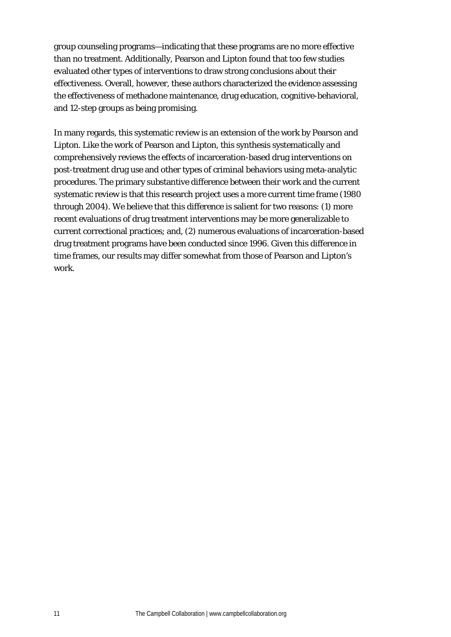group counseling programs—indicating that these programs are no more effective than no treatment. Additionally, Pearson and Lipton found that too few studies evaluated other types of interventions to draw strong conclusions about their effectiveness. Overall, however, these authors characterized the evidence assessing the effectiveness of methadone maintenance, drug education, cognitive-behavioral, and 12-step groups as being promising.

In many regards, this systematic review is an extension of the work by Pearson and Lipton. Like the work of Pearson and Lipton, this synthesis systematically and comprehensively reviews the effects of incarceration-based drug interventions on post-treatment drug use and other types of criminal behaviors using meta-analytic procedures. The primary substantive difference between their work and the current systematic review is that this research project uses a more current time frame (1980 through 2004). We believe that this difference is salient for two reasons: (1) more recent evaluations of drug treatment interventions may be more generalizable to current correctional practices; and, (2) numerous evaluations of incarceration-based drug treatment programs have been conducted since 1996. Given this difference in time frames, our results may differ somewhat from those of Pearson and Lipton's work.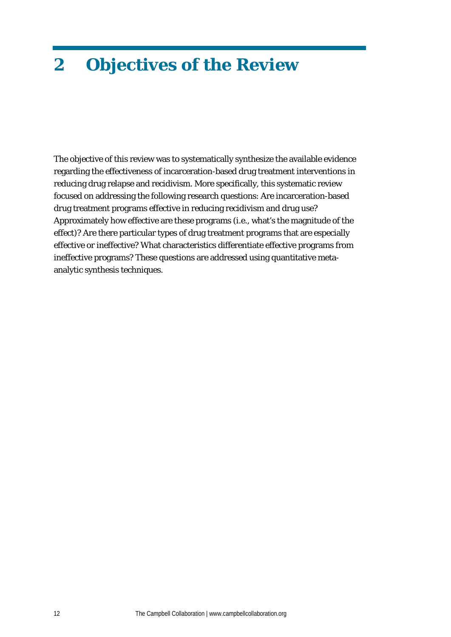## **2 Objectives of the Review**

The objective of this review was to systematically synthesize the available evidence regarding the effectiveness of incarceration-based drug treatment interventions in reducing drug relapse and recidivism. More specifically, this systematic review focused on addressing the following research questions: Are incarceration-based drug treatment programs effective in reducing recidivism and drug use? Approximately how effective are these programs (i.e., what's the magnitude of the effect)? Are there particular types of drug treatment programs that are especially effective or ineffective? What characteristics differentiate effective programs from ineffective programs? These questions are addressed using quantitative metaanalytic synthesis techniques.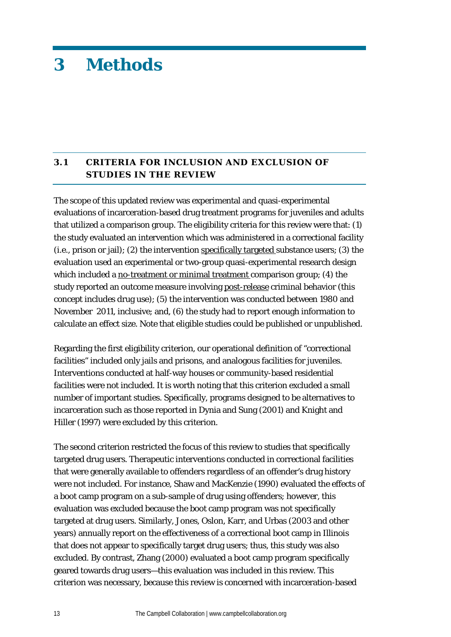## **3 Methods**

## **3.1 CRITERIA FOR INCLUSION AND EXCLUSION OF STUDIES IN THE REVIEW**

The scope of this updated review was experimental and quasi-experimental evaluations of incarceration-based drug treatment programs for juveniles and adults that utilized a comparison group. The eligibility criteria for this review were that: (1) the study evaluated an intervention which was administered in a correctional facility (i.e., prison or jail); (2) the intervention specifically targeted substance users; (3) the evaluation used an experimental or two-group quasi-experimental research design which included a no-treatment or minimal treatment comparison group; (4) the study reported an outcome measure involving post-release criminal behavior (this concept includes drug use); (5) the intervention was conducted between 1980 and November 2011, inclusive; and, (6) the study had to report enough information to calculate an effect size. Note that eligible studies could be published or unpublished.

Regarding the first eligibility criterion, our operational definition of "correctional facilities" included only jails and prisons, and analogous facilities for juveniles. Interventions conducted at half-way houses or community-based residential facilities were not included. It is worth noting that this criterion excluded a small number of important studies. Specifically, programs designed to be alternatives to incarceration such as those reported in Dynia and Sung (2001) and Knight and Hiller (1997) were excluded by this criterion.

The second criterion restricted the focus of this review to studies that specifically targeted drug users. Therapeutic interventions conducted in correctional facilities that were generally available to offenders regardless of an offender's drug history were not included. For instance, Shaw and MacKenzie (1990) evaluated the effects of a boot camp program on a sub-sample of drug using offenders; however, this evaluation was excluded because the boot camp program was not specifically targeted at drug users. Similarly, Jones, Oslon, Karr, and Urbas (2003 and other years) annually report on the effectiveness of a correctional boot camp in Illinois that does not appear to specifically target drug users; thus, this study was also excluded. By contrast, Zhang (2000) evaluated a boot camp program specifically geared towards drug users—this evaluation was included in this review. This criterion was necessary, because this review is concerned with incarceration-based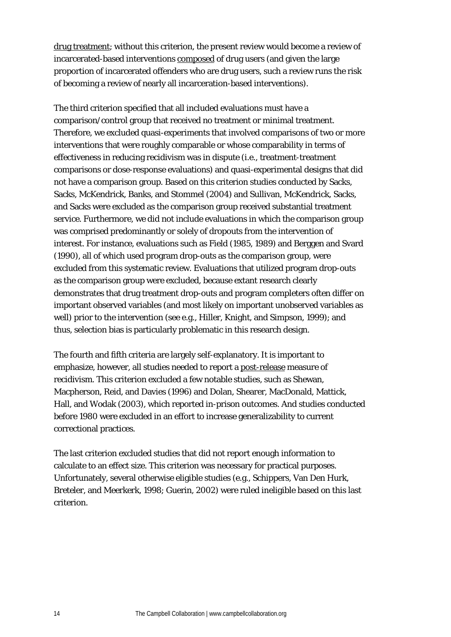drug treatment; without this criterion, the present review would become a review of incarcerated-based interventions composed of drug users (and given the large proportion of incarcerated offenders who are drug users, such a review runs the risk of becoming a review of nearly all incarceration-based interventions).

The third criterion specified that all included evaluations must have a comparison/control group that received no treatment or minimal treatment. Therefore, we excluded quasi-experiments that involved comparisons of two or more interventions that were roughly comparable or whose comparability in terms of effectiveness in reducing recidivism was in dispute (i.e., treatment-treatment comparisons or dose-response evaluations) and quasi-experimental designs that did not have a comparison group. Based on this criterion studies conducted by Sacks, Sacks, McKendrick, Banks, and Stommel (2004) and Sullivan, McKendrick, Sacks, and Sacks were excluded as the comparison group received substantial treatment service. Furthermore, we did not include evaluations in which the comparison group was comprised predominantly or solely of dropouts from the intervention of interest. For instance, evaluations such as Field (1985, 1989) and Berggen and Svard (1990), all of which used program drop-outs as the comparison group, were excluded from this systematic review. Evaluations that utilized program drop-outs as the comparison group were excluded, because extant research clearly demonstrates that drug treatment drop-outs and program completers often differ on important observed variables (and most likely on important unobserved variables as well) prior to the intervention (see e.g., Hiller, Knight, and Simpson, 1999); and thus, selection bias is particularly problematic in this research design.

The fourth and fifth criteria are largely self-explanatory. It is important to emphasize, however, all studies needed to report a post-release measure of recidivism. This criterion excluded a few notable studies, such as Shewan, Macpherson, Reid, and Davies (1996) and Dolan, Shearer, MacDonald, Mattick, Hall, and Wodak (2003), which reported in-prison outcomes. And studies conducted before 1980 were excluded in an effort to increase generalizability to current correctional practices.

The last criterion excluded studies that did not report enough information to calculate to an effect size. This criterion was necessary for practical purposes. Unfortunately, several otherwise eligible studies (e.g., Schippers, Van Den Hurk, Breteler, and Meerkerk, 1998; Guerin, 2002) were ruled ineligible based on this last criterion.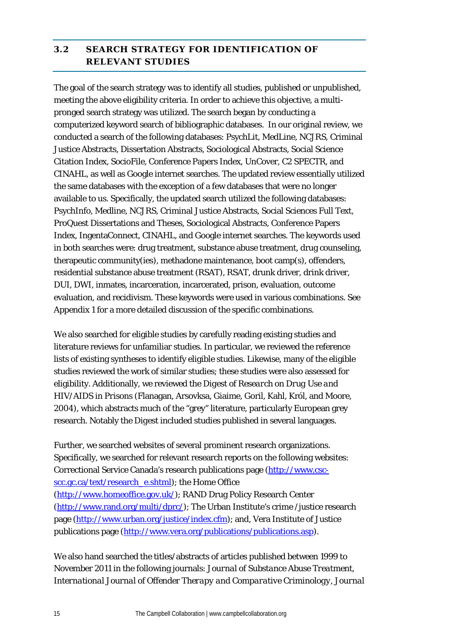## **3.2 SEARCH STRATEGY FOR IDENTIFICATION OF RELEVANT STUDIES**

The goal of the search strategy was to identify all studies, published or unpublished, meeting the above eligibility criteria. In order to achieve this objective, a multipronged search strategy was utilized. The search began by conducting a computerized keyword search of bibliographic databases. In our original review, we conducted a search of the following databases: PsychLit, MedLine, NCJRS, Criminal Justice Abstracts, Dissertation Abstracts, Sociological Abstracts, Social Science Citation Index, SocioFile, Conference Papers Index, UnCover, C2 SPECTR, and CINAHL, as well as Google internet searches. The updated review essentially utilized the same databases with the exception of a few databases that were no longer available to us. Specifically, the updated search utilized the following databases: PsychInfo, Medline, NCJRS, Criminal Justice Abstracts, Social Sciences Full Text, ProQuest Dissertations and Theses, Sociological Abstracts, Conference Papers Index, IngentaConnect, CINAHL, and Google internet searches. The keywords used in both searches were: drug treatment, substance abuse treatment, drug counseling, therapeutic community(ies), methadone maintenance, boot camp(s), offenders, residential substance abuse treatment (RSAT), RSAT, drunk driver, drink driver, DUI, DWI, inmates, incarceration, incarcerated, prison, evaluation, outcome evaluation, and recidivism. These keywords were used in various combinations. See Appendix 1 for a more detailed discussion of the specific combinations.

We also searched for eligible studies by carefully reading existing studies and literature reviews for unfamiliar studies. In particular, we reviewed the reference lists of existing syntheses to identify eligible studies. Likewise, many of the eligible studies reviewed the work of similar studies; these studies were also assessed for eligibility. Additionally, we reviewed the *Digest of Research on Drug Use and HIV/AIDS in Prisons* (Flanagan, Arsovksa, Giaime, Goril, Kahl, Król, and Moore, 2004), which abstracts much of the "grey" literature, particularly European grey research. Notably the *Digest* included studies published in several languages.

Further, we searched websites of several prominent research organizations. Specifically, we searched for relevant research reports on the following websites: Correctional Service Canada's research publications page [\(http://www.csc](http://www.csc-scc.gc.ca/text/research_e.shtml)[scc.gc.ca/text/research\\_e.shtml\)](http://www.csc-scc.gc.ca/text/research_e.shtml); the Home Office [\(http://www.homeoffice.gov.uk/\)](http://www.homeoffice.gov.uk/); RAND Drug Policy Research Center [\(http://www.rand.org/multi/dprc/\)](http://www.rand.org/multi/dprc/); The Urban Institute's crime /justice research page [\(http://www.urban.org/justice/index.cfm\)](http://www.urban.org/justice/index.cfm); and, Vera Institute of Justice publications page [\(http://www.vera.org/publications/publications.asp\)](http://www.vera.org/publications/publications.asp).

We also hand searched the titles/abstracts of articles published between 1999 to November 2011 in the following journals: *Journal of Substance Abuse Treatment*, *International Journal of Offender Therapy and Comparative Criminology*, *Journal*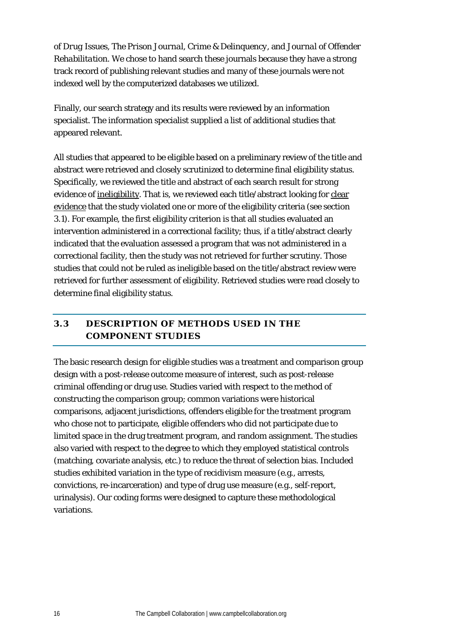*of Drug Issues*, *The Prison Journal*, *Crime & Delinquency*, and *Journal of Offender Rehabilitation*. We chose to hand search these journals because they have a strong track record of publishing relevant studies and many of these journals were not indexed well by the computerized databases we utilized.

Finally, our search strategy and its results were reviewed by an information specialist. The information specialist supplied a list of additional studies that appeared relevant.

All studies that appeared to be eligible based on a preliminary review of the title and abstract were retrieved and closely scrutinized to determine final eligibility status. Specifically, we reviewed the title and abstract of each search result for strong evidence of ineligibility. That is, we reviewed each title/abstract looking for clear evidence that the study violated one or more of the eligibility criteria (see section 3.1). For example, the first eligibility criterion is that all studies evaluated an intervention administered in a correctional facility; thus, if a title/abstract clearly indicated that the evaluation assessed a program that was not administered in a correctional facility, then the study was not retrieved for further scrutiny. Those studies that could not be ruled as ineligible based on the title/abstract review were retrieved for further assessment of eligibility. Retrieved studies were read closely to determine final eligibility status.

## **3.3 DESCRIPTION OF METHODS USED IN THE COMPONENT STUDIES**

The basic research design for eligible studies was a treatment and comparison group design with a post-release outcome measure of interest, such as post-release criminal offending or drug use. Studies varied with respect to the method of constructing the comparison group; common variations were historical comparisons, adjacent jurisdictions, offenders eligible for the treatment program who chose not to participate, eligible offenders who did not participate due to limited space in the drug treatment program, and random assignment. The studies also varied with respect to the degree to which they employed statistical controls (matching, covariate analysis, etc.) to reduce the threat of selection bias. Included studies exhibited variation in the type of recidivism measure (e.g., arrests, convictions, re-incarceration) and type of drug use measure (e.g., self-report, urinalysis). Our coding forms were designed to capture these methodological variations.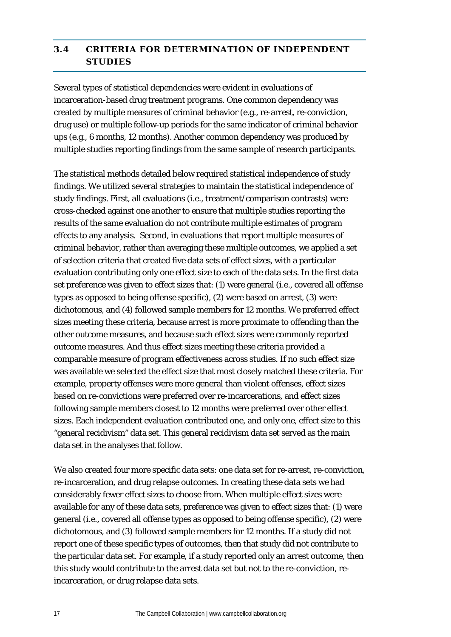### **3.4 CRITERIA FOR DETERMINATION OF INDEPENDENT STUDIES**

Several types of statistical dependencies were evident in evaluations of incarceration-based drug treatment programs. One common dependency was created by multiple measures of criminal behavior (e.g., re-arrest, re-conviction, drug use) or multiple follow-up periods for the same indicator of criminal behavior ups (e.g., 6 months, 12 months). Another common dependency was produced by multiple studies reporting findings from the same sample of research participants.

The statistical methods detailed below required statistical independence of study findings. We utilized several strategies to maintain the statistical independence of study findings. First, all evaluations (i.e., treatment/comparison contrasts) were cross-checked against one another to ensure that multiple studies reporting the results of the same evaluation do not contribute multiple estimates of program effects to any analysis. Second, in evaluations that report multiple measures of criminal behavior, rather than averaging these multiple outcomes, we applied a set of selection criteria that created five data sets of effect sizes, with a particular evaluation contributing only one effect size to each of the data sets. In the first data set preference was given to effect sizes that: (1) were general (i.e., covered all offense types as opposed to being offense specific), (2) were based on arrest, (3) were dichotomous, and (4) followed sample members for 12 months. We preferred effect sizes meeting these criteria, because arrest is more proximate to offending than the other outcome measures, and because such effect sizes were commonly reported outcome measures. And thus effect sizes meeting these criteria provided a comparable measure of program effectiveness across studies. If no such effect size was available we selected the effect size that most closely matched these criteria. For example, property offenses were more general than violent offenses, effect sizes based on re-convictions were preferred over re-incarcerations, and effect sizes following sample members closest to 12 months were preferred over other effect sizes. Each independent evaluation contributed one, and only one, effect size to this "general recidivism" data set. This general recidivism data set served as the main data set in the analyses that follow.

We also created four more specific data sets: one data set for re-arrest, re-conviction, re-incarceration, and drug relapse outcomes. In creating these data sets we had considerably fewer effect sizes to choose from. When multiple effect sizes were available for any of these data sets, preference was given to effect sizes that: (1) were general (i.e., covered all offense types as opposed to being offense specific), (2) were dichotomous, and (3) followed sample members for 12 months. If a study did not report one of these specific types of outcomes, then that study did not contribute to the particular data set. For example, if a study reported only an arrest outcome, then this study would contribute to the arrest data set but not to the re-conviction, reincarceration, or drug relapse data sets.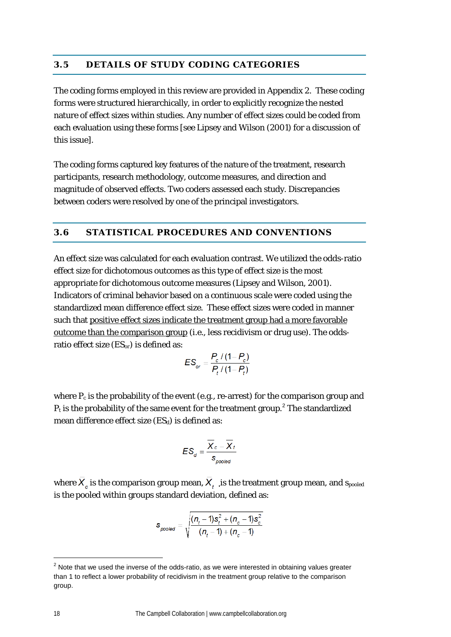### **3.5 DETAILS OF STUDY CODING CATEGORIES**

The coding forms employed in this review are provided in Appendix 2. These coding forms were structured hierarchically, in order to explicitly recognize the nested nature of effect sizes within studies. Any number of effect sizes could be coded from each evaluation using these forms [see Lipsey and Wilson (2001) for a discussion of this issue].

The coding forms captured key features of the nature of the treatment, research participants, research methodology, outcome measures, and direction and magnitude of observed effects. Two coders assessed each study. Discrepancies between coders were resolved by one of the principal investigators.

### **3.6 STATISTICAL PROCEDURES AND CONVENTIONS**

An effect size was calculated for each evaluation contrast. We utilized the odds-ratio effect size for dichotomous outcomes as this type of effect size is the most appropriate for dichotomous outcome measures (Lipsey and Wilson, 2001). Indicators of criminal behavior based on a continuous scale were coded using the standardized mean difference effect size. These effect sizes were coded in manner such that positive effect sizes indicate the treatment group had a more favorable outcome than the comparison group (i.e., less recidivism or drug use). The oddsratio effect size (*ESor*) is defined as:

<span id="page-18-0"></span>
$$
ES_{or} = \frac{P_c / (1 - P_c)}{P_t / (1 - P_t)}
$$

where  $P_c$  is the probability of the event (e.g., re-arrest) for the comparison group and  $P_t$  is the probability of the same event for the treatment group.<sup>[2](#page-18-0)</sup> The standardized mean difference effect size (*ESd*) is defined as:

$$
ES_{d} = \frac{\overline{X}_{c} - \overline{X}_{t}}{s_{pooled}}
$$

where  $X_{c}$  is the comparison group mean,  $X_{t_{i}}$  is the treatment group mean, and  $s_{pooled}$ is the pooled within groups standard deviation, defined as:

$$
s_{pooled} = \sqrt{\frac{(n_t - 1)s_t^2 + (n_c - 1)s_c^2}{(n_t - 1) + (n_c - 1)}}
$$

-

 $2$  Note that we used the inverse of the odds-ratio, as we were interested in obtaining values greater than 1 to reflect a lower probability of recidivism in the treatment group relative to the comparison group.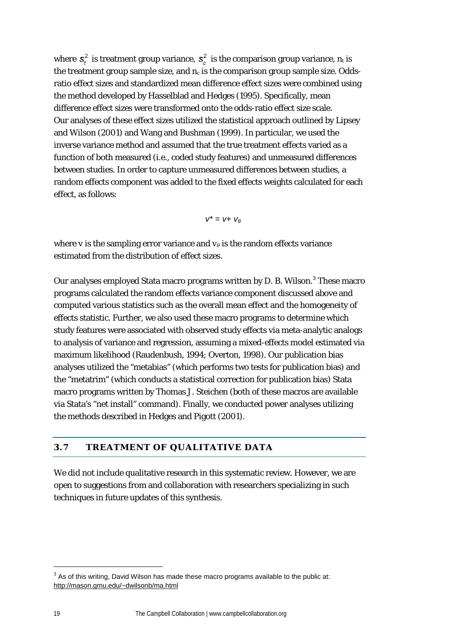where  $s_t^2$  is treatment group variance,  $s_c^2$  is the comparison group variance,  $n_t$  is the treatment group sample size, and  $n_c$  is the comparison group sample size. Oddsratio effect sizes and standardized mean difference effect sizes were combined using the method developed by Hasselblad and Hedges (1995). Specifically, mean difference effect sizes were transformed onto the odds-ratio effect size scale. Our analyses of these effect sizes utilized the statistical approach outlined by Lipsey and Wilson (2001) and Wang and Bushman (1999). In particular, we used the inverse variance method and assumed that the true treatment effects varied as a function of both measured (i.e., coded study features) and unmeasured differences between studies. In order to capture unmeasured differences between studies, a random effects component was added to the fixed effects weights calculated for each effect, as follows:

<span id="page-19-0"></span>*v\* = v+ v<sup>θ</sup>*

where *v* is the sampling error variance and *v<sup>θ</sup>* is the random effects variance estimated from the distribution of effect sizes.

Our analyses employed Stata macro programs written by D. B. Wilson.<sup>[3](#page-19-0)</sup> These macro programs calculated the random effects variance component discussed above and computed various statistics such as the overall mean effect and the homogeneity of effects statistic. Further, we also used these macro programs to determine which study features were associated with observed study effects via meta-analytic analogs to analysis of variance and regression, assuming a mixed-effects model estimated via maximum likelihood (Raudenbush, 1994; Overton, 1998). Our publication bias analyses utilized the "metabias" (which performs two tests for publication bias) and the "metatrim" (which conducts a statistical correction for publication bias) Stata macro programs written by Thomas J. Steichen (both of these macros are available via Stata's "net install" command). Finally, we conducted power analyses utilizing the methods described in Hedges and Pigott (2001).

### **3.7 TREATMENT OF QUALITATIVE DATA**

We did not include qualitative research in this systematic review. However, we are open to suggestions from and collaboration with researchers specializing in such techniques in future updates of this synthesis.

-

 $3$  As of this writing, David Wilson has made these macro programs available to the public at: http://mason.gmu.edu/~dwilsonb/ma.html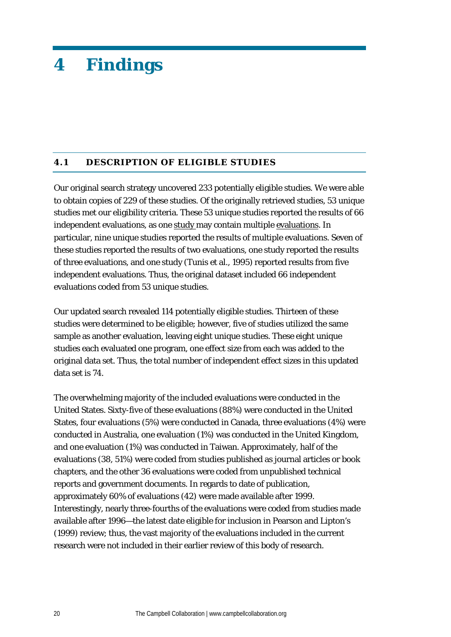## **4 Findings**

### **4.1 DESCRIPTION OF ELIGIBLE STUDIES**

Our original search strategy uncovered 233 potentially eligible studies. We were able to obtain copies of 229 of these studies. Of the originally retrieved studies, 53 unique studies met our eligibility criteria. These 53 unique studies reported the results of 66 independent evaluations, as one study may contain multiple evaluations. In particular, nine unique studies reported the results of multiple evaluations. Seven of these studies reported the results of two evaluations, one study reported the results of three evaluations, and one study (Tunis et al., 1995) reported results from five independent evaluations. Thus, the original dataset included 66 independent evaluations coded from 53 unique studies.

Our updated search revealed 114 potentially eligible studies. Thirteen of these studies were determined to be eligible; however, five of studies utilized the same sample as another evaluation, leaving eight unique studies. These eight unique studies each evaluated one program, one effect size from each was added to the original data set. Thus, the total number of independent effect sizes in this updated data set is 74.

The overwhelming majority of the included evaluations were conducted in the United States. Sixty-five of these evaluations (88%) were conducted in the United States, four evaluations (5%) were conducted in Canada, three evaluations (4%) were conducted in Australia, one evaluation (1%) was conducted in the United Kingdom, and one evaluation (1%) was conducted in Taiwan. Approximately, half of the evaluations (38, 51%) were coded from studies published as journal articles or book chapters, and the other 36 evaluations were coded from unpublished technical reports and government documents. In regards to date of publication, approximately 60% of evaluations (42) were made available after 1999. Interestingly, nearly three-fourths of the evaluations were coded from studies made available after 1996—the latest date eligible for inclusion in Pearson and Lipton's (1999) review; thus, the vast majority of the evaluations included in the current research were not included in their earlier review of this body of research.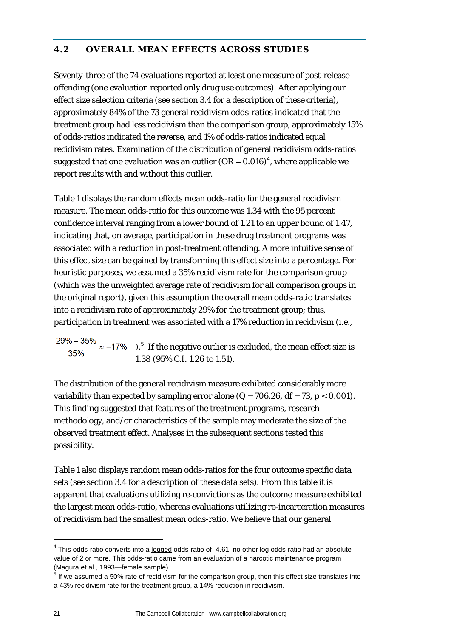### **4.2 OVERALL MEAN EFFECTS ACROSS STUDIES**

Seventy-three of the 74 evaluations reported at least one measure of post-release offending (one evaluation reported only drug use outcomes). After applying our effect size selection criteria (see section 3.4 for a description of these criteria), approximately 84% of the 73 general recidivism odds-ratios indicated that the treatment group had less recidivism than the comparison group, approximately 15% of odds-ratios indicated the reverse, and 1% of odds-ratios indicated equal recidivism rates. Examination of the distribution of general recidivism odds-ratios suggested that one evaluation was an outlier (OR = 0.016)<sup>[4](#page-21-0)</sup>, where applicable we report results with and without this outlier.

<span id="page-21-1"></span><span id="page-21-0"></span>Table 1 displays the random effects mean odds-ratio for the general recidivism measure. The mean odds-ratio for this outcome was 1.34 with the 95 percent confidence interval ranging from a lower bound of 1.21 to an upper bound of 1.47, indicating that, on average, participation in these drug treatment programs was associated with a reduction in post-treatment offending. A more intuitive sense of this effect size can be gained by transforming this effect size into a percentage. For heuristic purposes, we assumed a 35% recidivism rate for the comparison group (which was the unweighted average rate of recidivism for all comparison groups in the original report), given this assumption the overall mean odds-ratio translates into a recidivism rate of approximately 29% for the treatment group; thus, participation in treatment was associated with a 17% reduction in recidivism (i.e.,

 $0.5$  $0.5$  If the negative outlier is excluded, the mean effect size is 35% 1.38 (95% C.I. 1.26 to 1.51).

The distribution of the general recidivism measure exhibited considerably more variability than expected by sampling error alone ( $Q = 706.26$ ,  $df = 73$ ,  $p < 0.001$ ). This finding suggested that features of the treatment programs, research methodology, and/or characteristics of the sample may moderate the size of the observed treatment effect. Analyses in the subsequent sections tested this possibility.

Table 1 also displays random mean odds-ratios for the four outcome specific data sets (see section 3.4 for a description of these data sets). From this table it is apparent that evaluations utilizing re-convictions as the outcome measure exhibited the largest mean odds-ratio, whereas evaluations utilizing re-incarceration measures of recidivism had the smallest mean odds-ratio. We believe that our general

1

<sup>&</sup>lt;sup>4</sup> This odds-ratio converts into a logged odds-ratio of -4.61; no other log odds-ratio had an absolute value of 2 or more. This odds-ratio came from an evaluation of a narcotic maintenance program

<sup>(</sup>Magura et al., 1993—female sample).<br> $<sup>5</sup>$  If we assumed a 50% rate of recidivism for the comparison group, then this effect size translates into</sup> a 43% recidivism rate for the treatment group, a 14% reduction in recidivism.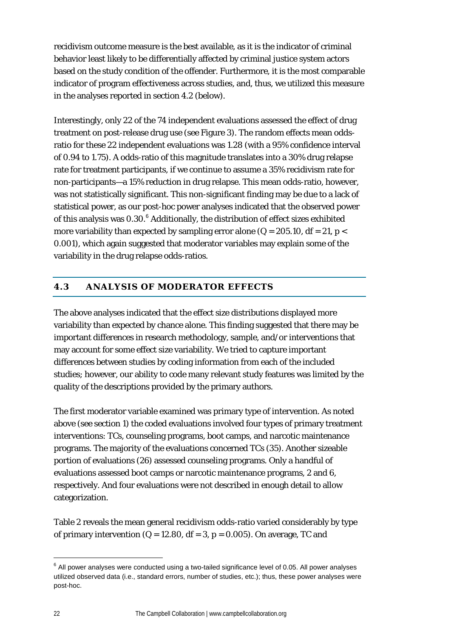recidivism outcome measure is the best available, as it is the indicator of criminal behavior least likely to be differentially affected by criminal justice system actors based on the study condition of the offender. Furthermore, it is the most comparable indicator of program effectiveness across studies, and, thus, we utilized this measure in the analyses reported in section 4.2 (below).

<span id="page-22-0"></span>Interestingly, only 22 of the 74 independent evaluations assessed the effect of drug treatment on post-release drug use (see Figure 3). The random effects mean oddsratio for these 22 independent evaluations was 1.28 (with a 95% confidence interval of 0.94 to 1.75). A odds-ratio of this magnitude translates into a 30% drug relapse rate for treatment participants, if we continue to assume a 35% recidivism rate for non-participants—a 15% reduction in drug relapse. This mean odds-ratio, however, was not statistically significant. This non-significant finding may be due to a lack of statistical power, as our post-hoc power analyses indicated that the observed power of this analysis was  $0.30<sup>6</sup>$  $0.30<sup>6</sup>$  $0.30<sup>6</sup>$  Additionally, the distribution of effect sizes exhibited more variability than expected by sampling error alone ( $Q = 205.10$ ,  $df = 21$ ,  $p <$ 0.001), which again suggested that moderator variables may explain some of the variability in the drug relapse odds-ratios.

### **4.3 ANALYSIS OF MODERATOR EFFECTS**

The above analyses indicated that the effect size distributions displayed more variability than expected by chance alone. This finding suggested that there may be important differences in research methodology, sample, and/or interventions that may account for some effect size variability. We tried to capture important differences between studies by coding information from each of the included studies; however, our ability to code many relevant study features was limited by the quality of the descriptions provided by the primary authors.

The first moderator variable examined was primary type of intervention. As noted above (see section 1) the coded evaluations involved four types of primary treatment interventions: TCs, counseling programs, boot camps, and narcotic maintenance programs. The majority of the evaluations concerned TCs (35). Another sizeable portion of evaluations (26) assessed counseling programs. Only a handful of evaluations assessed boot camps or narcotic maintenance programs, 2 and 6, respectively. And four evaluations were not described in enough detail to allow categorization.

Table 2 reveals the mean general recidivism odds-ratio varied considerably by type of primary intervention (*Q* = 12.80, *df* = 3, *p* = 0.005). On average, TC and

-

 $6$  All power analyses were conducted using a two-tailed significance level of 0.05. All power analyses utilized observed data (i.e., standard errors, number of studies, etc.); thus, these power analyses were post-hoc.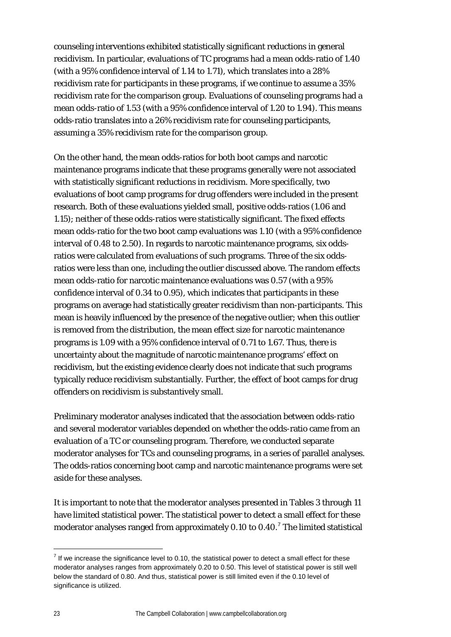counseling interventions exhibited statistically significant reductions in general recidivism. In particular, evaluations of TC programs had a mean odds-ratio of 1.40 (with a 95% confidence interval of 1.14 to 1.71), which translates into a 28% recidivism rate for participants in these programs, if we continue to assume a 35% recidivism rate for the comparison group. Evaluations of counseling programs had a mean odds-ratio of 1.53 (with a 95% confidence interval of 1.20 to 1.94). This means odds-ratio translates into a 26% recidivism rate for counseling participants, assuming a 35% recidivism rate for the comparison group.

<span id="page-23-0"></span>On the other hand, the mean odds-ratios for both boot camps and narcotic maintenance programs indicate that these programs generally were not associated with statistically significant reductions in recidivism. More specifically, two evaluations of boot camp programs for drug offenders were included in the present research. Both of these evaluations yielded small, positive odds-ratios (1.06 and 1.15); neither of these odds-ratios were statistically significant. The fixed effects mean odds-ratio for the two boot camp evaluations was 1.10 (with a 95% confidence interval of 0.48 to 2.50). In regards to narcotic maintenance programs, six oddsratios were calculated from evaluations of such programs. Three of the six oddsratios were less than one, including the outlier discussed above. The random effects mean odds-ratio for narcotic maintenance evaluations was 0.57 (with a 95% confidence interval of 0.34 to 0.95), which indicates that participants in these programs on average had statistically greater recidivism than non-participants. This mean is heavily influenced by the presence of the negative outlier; when this outlier is removed from the distribution, the mean effect size for narcotic maintenance programs is 1.09 with a 95% confidence interval of 0.71 to 1.67. Thus, there is uncertainty about the magnitude of narcotic maintenance programs' effect on recidivism, but the existing evidence clearly does not indicate that such programs typically reduce recidivism substantially. Further, the effect of boot camps for drug offenders on recidivism is substantively small.

Preliminary moderator analyses indicated that the association between odds-ratio and several moderator variables depended on whether the odds-ratio came from an evaluation of a TC or counseling program. Therefore, we conducted separate moderator analyses for TCs and counseling programs, in a series of parallel analyses. The odds-ratios concerning boot camp and narcotic maintenance programs were set aside for these analyses.

It is important to note that the moderator analyses presented in Tables 3 through 11 have limited statistical power. The statistical power to detect a small effect for these moderator analyses ranged from approximately 0.10 to 0.40.<sup>[7](#page-23-0)</sup> The limited statistical

1

 $7$  If we increase the significance level to 0.10, the statistical power to detect a small effect for these moderator analyses ranges from approximately 0.20 to 0.50. This level of statistical power is still well below the standard of 0.80. And thus, statistical power is still limited even if the 0.10 level of significance is utilized.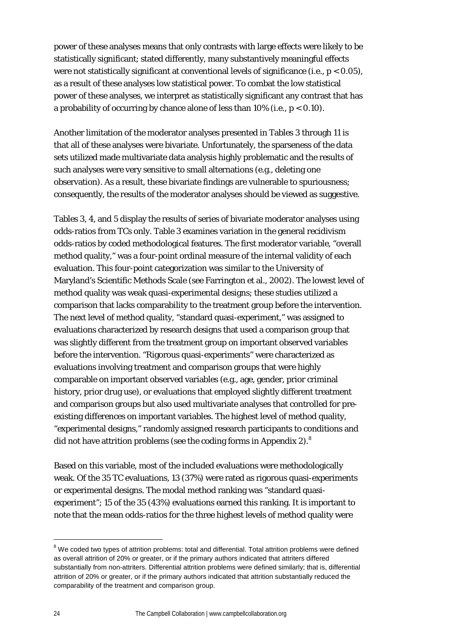power of these analyses means that only contrasts with large effects were likely to be statistically significant; stated differently, many substantively meaningful effects were not statistically significant at conventional levels of significance (i.e., *p* < 0.05), as a result of these analyses low statistical power. To combat the low statistical power of these analyses, we interpret as statistically significant any contrast that has a probability of occurring by chance alone of less than 10% (i.e., *p* < 0.10).

Another limitation of the moderator analyses presented in Tables 3 through 11 is that all of these analyses were bivariate. Unfortunately, the sparseness of the data sets utilized made multivariate data analysis highly problematic and the results of such analyses were very sensitive to small alternations (e.g., deleting one observation). As a result, these bivariate findings are vulnerable to spuriousness; consequently, the results of the moderator analyses should be viewed as suggestive.

<span id="page-24-0"></span>Tables 3, 4, and 5 display the results of series of bivariate moderator analyses using odds-ratios from TCs only. Table 3 examines variation in the general recidivism odds-ratios by coded methodological features. The first moderator variable, "overall method quality," was a four-point ordinal measure of the internal validity of each evaluation. This four-point categorization was similar to the University of Maryland's Scientific Methods Scale (see Farrington et al., 2002). The lowest level of method quality was weak quasi-experimental designs; these studies utilized a comparison that lacks comparability to the treatment group before the intervention. The next level of method quality, "standard quasi-experiment," was assigned to evaluations characterized by research designs that used a comparison group that was slightly different from the treatment group on important observed variables before the intervention. "Rigorous quasi-experiments" were characterized as evaluations involving treatment and comparison groups that were highly comparable on important observed variables (e.g., age, gender, prior criminal history, prior drug use), or evaluations that employed slightly different treatment and comparison groups but also used multivariate analyses that controlled for preexisting differences on important variables. The highest level of method quality, "experimental designs," randomly assigned research participants to conditions and did not have attrition problems (see the coding forms in Appendix 2). $^8$  $^8$ 

Based on this variable, most of the included evaluations were methodologically weak. Of the 35 TC evaluations, 13 (37%) were rated as rigorous quasi-experiments or experimental designs. The modal method ranking was "standard quasiexperiment"; 15 of the 35 (43%) evaluations earned this ranking. It is important to note that the mean odds-ratios for the three highest levels of method quality were

1

 $8$  We coded two types of attrition problems: total and differential. Total attrition problems were defined as overall attrition of 20% or greater, or if the primary authors indicated that attriters differed substantially from non-attriters. Differential attrition problems were defined similarly; that is, differential attrition of 20% or greater, or if the primary authors indicated that attrition substantially reduced the comparability of the treatment and comparison group.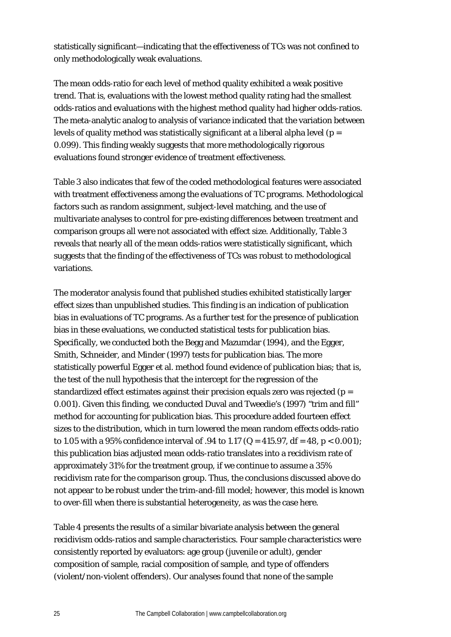statistically significant—indicating that the effectiveness of TCs was not confined to only methodologically weak evaluations.

The mean odds-ratio for each level of method quality exhibited a weak positive trend. That is, evaluations with the lowest method quality rating had the smallest odds-ratios and evaluations with the highest method quality had higher odds-ratios. The meta-analytic analog to analysis of variance indicated that the variation between levels of quality method was statistically significant at a liberal alpha level (*p* = 0.099). This finding weakly suggests that more methodologically rigorous evaluations found stronger evidence of treatment effectiveness.

Table 3 also indicates that few of the coded methodological features were associated with treatment effectiveness among the evaluations of TC programs. Methodological factors such as random assignment, subject-level matching, and the use of multivariate analyses to control for pre-existing differences between treatment and comparison groups all were not associated with effect size. Additionally, Table 3 reveals that nearly all of the mean odds-ratios were statistically significant, which suggests that the finding of the effectiveness of TCs was robust to methodological variations.

The moderator analysis found that published studies exhibited statistically larger effect sizes than unpublished studies. This finding is an indication of publication bias in evaluations of TC programs. As a further test for the presence of publication bias in these evaluations, we conducted statistical tests for publication bias. Specifically, we conducted both the Begg and Mazumdar (1994), and the Egger, Smith, Schneider, and Minder (1997) tests for publication bias. The more statistically powerful Egger et al. method found evidence of publication bias; that is, the test of the null hypothesis that the intercept for the regression of the standardized effect estimates against their precision equals zero was rejected (*p* = 0.001). Given this finding, we conducted Duval and Tweedie's (1997) "trim and fill" method for accounting for publication bias. This procedure added fourteen effect sizes to the distribution, which in turn lowered the mean random effects odds-ratio to 1.05 with a 95% confidence interval of .94 to 1.17 (*Q* = 415.97, *df* = 48, *p* < 0.001); this publication bias adjusted mean odds-ratio translates into a recidivism rate of approximately 31% for the treatment group, if we continue to assume a 35% recidivism rate for the comparison group. Thus, the conclusions discussed above do not appear to be robust under the trim-and-fill model; however, this model is known to over-fill when there is substantial heterogeneity, as was the case here.

Table 4 presents the results of a similar bivariate analysis between the general recidivism odds-ratios and sample characteristics. Four sample characteristics were consistently reported by evaluators: age group (juvenile or adult), gender composition of sample, racial composition of sample, and type of offenders (violent/non-violent offenders). Our analyses found that none of the sample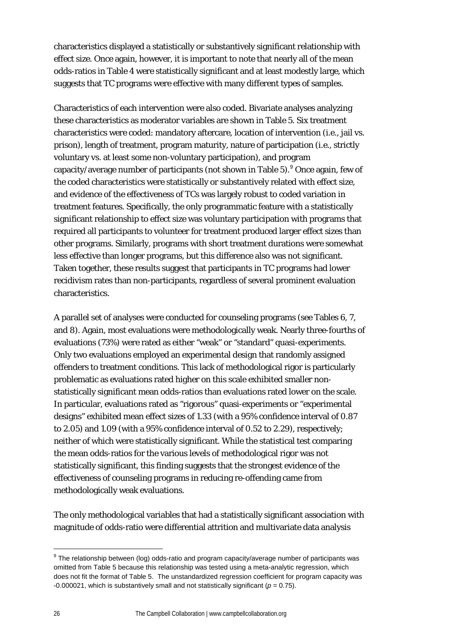characteristics displayed a statistically or substantively significant relationship with effect size. Once again, however, it is important to note that nearly all of the mean odds-ratios in Table 4 were statistically significant and at least modestly large, which suggests that TC programs were effective with many different types of samples.

<span id="page-26-0"></span>Characteristics of each intervention were also coded. Bivariate analyses analyzing these characteristics as moderator variables are shown in Table 5. Six treatment characteristics were coded: mandatory aftercare, location of intervention (i.e., jail vs. prison), length of treatment, program maturity, nature of participation (i.e., strictly voluntary vs. at least some non-voluntary participation), and program capacity/average number of participants (not shown in Table 5).<sup>[9](#page-26-0)</sup> Once again, few of the coded characteristics were statistically or substantively related with effect size, and evidence of the effectiveness of TCs was largely robust to coded variation in treatment features. Specifically, the only programmatic feature with a statistically significant relationship to effect size was voluntary participation with programs that required all participants to volunteer for treatment produced larger effect sizes than other programs. Similarly, programs with short treatment durations were somewhat less effective than longer programs, but this difference also was not significant. Taken together, these results suggest that participants in TC programs had lower recidivism rates than non-participants, regardless of several prominent evaluation characteristics.

A parallel set of analyses were conducted for counseling programs (see Tables 6, 7, and 8). Again, most evaluations were methodologically weak. Nearly three-fourths of evaluations (73%) were rated as either "weak" or "standard" quasi-experiments. Only two evaluations employed an experimental design that randomly assigned offenders to treatment conditions. This lack of methodological rigor is particularly problematic as evaluations rated higher on this scale exhibited smaller nonstatistically significant mean odds-ratios than evaluations rated lower on the scale. In particular, evaluations rated as "rigorous" quasi-experiments or "experimental designs" exhibited mean effect sizes of 1.33 (with a 95% confidence interval of 0.87 to 2.05) and 1.09 (with a 95% confidence interval of 0.52 to 2.29), respectively; neither of which were statistically significant. While the statistical test comparing the mean odds-ratios for the various levels of methodological rigor was not statistically significant, this finding suggests that the strongest evidence of the effectiveness of counseling programs in reducing re-offending came from methodologically weak evaluations.

The only methodological variables that had a statistically significant association with magnitude of odds-ratio were differential attrition and multivariate data analysis

1

<sup>&</sup>lt;sup>9</sup> The relationship between (log) odds-ratio and program capacity/average number of participants was omitted from Table 5 because this relationship was tested using a meta-analytic regression, which does not fit the format of Table 5. The unstandardized regression coefficient for program capacity was  $-0.000021$ , which is substantively small and not statistically significant ( $p = 0.75$ ).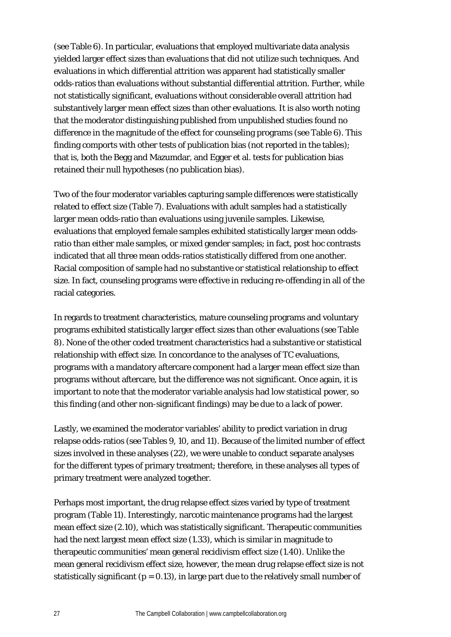(see Table 6). In particular, evaluations that employed multivariate data analysis yielded larger effect sizes than evaluations that did not utilize such techniques. And evaluations in which differential attrition was apparent had statistically smaller odds-ratios than evaluations without substantial differential attrition. Further, while not statistically significant, evaluations without considerable overall attrition had substantively larger mean effect sizes than other evaluations. It is also worth noting that the moderator distinguishing published from unpublished studies found no difference in the magnitude of the effect for counseling programs (see Table 6). This finding comports with other tests of publication bias (not reported in the tables); that is, both the Begg and Mazumdar, and Egger et al. tests for publication bias retained their null hypotheses (no publication bias).

Two of the four moderator variables capturing sample differences were statistically related to effect size (Table 7). Evaluations with adult samples had a statistically larger mean odds-ratio than evaluations using juvenile samples. Likewise, evaluations that employed female samples exhibited statistically larger mean oddsratio than either male samples, or mixed gender samples; in fact, post hoc contrasts indicated that all three mean odds-ratios statistically differed from one another. Racial composition of sample had no substantive or statistical relationship to effect size. In fact, counseling programs were effective in reducing re-offending in all of the racial categories.

In regards to treatment characteristics, mature counseling programs and voluntary programs exhibited statistically larger effect sizes than other evaluations (see Table 8). None of the other coded treatment characteristics had a substantive or statistical relationship with effect size. In concordance to the analyses of TC evaluations, programs with a mandatory aftercare component had a larger mean effect size than programs without aftercare, but the difference was not significant. Once again, it is important to note that the moderator variable analysis had low statistical power, so this finding (and other non-significant findings) may be due to a lack of power.

Lastly, we examined the moderator variables' ability to predict variation in drug relapse odds-ratios (see Tables 9, 10, and 11). Because of the limited number of effect sizes involved in these analyses (22), we were unable to conduct separate analyses for the different types of primary treatment; therefore, in these analyses all types of primary treatment were analyzed together.

Perhaps most important, the drug relapse effect sizes varied by type of treatment program (Table 11). Interestingly, narcotic maintenance programs had the largest mean effect size (2.10), which was statistically significant. Therapeutic communities had the next largest mean effect size (1.33), which is similar in magnitude to therapeutic communities' mean general recidivism effect size (1.40). Unlike the mean general recidivism effect size, however, the mean drug relapse effect size is not statistically significant  $(p = 0.13)$ , in large part due to the relatively small number of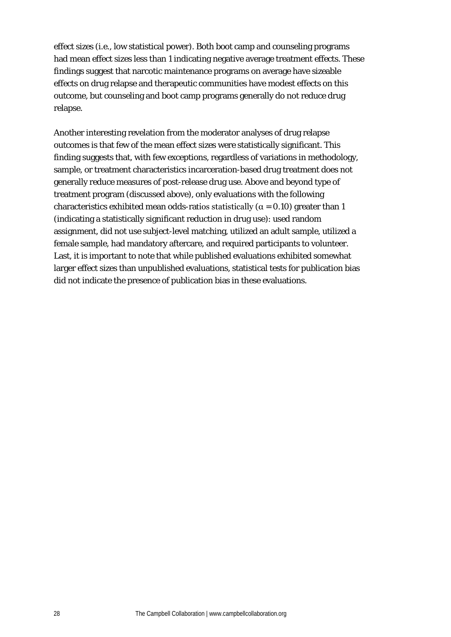effect sizes (i.e., low statistical power). Both boot camp and counseling programs had mean effect sizes less than 1 indicating negative average treatment effects. These findings suggest that narcotic maintenance programs on average have sizeable effects on drug relapse and therapeutic communities have modest effects on this outcome, but counseling and boot camp programs generally do not reduce drug relapse.

Another interesting revelation from the moderator analyses of drug relapse outcomes is that few of the mean effect sizes were statistically significant. This finding suggests that, with few exceptions, regardless of variations in methodology, sample, or treatment characteristics incarceration-based drug treatment does not generally reduce measures of post-release drug use. Above and beyond type of treatment program (discussed above), only evaluations with the following characteristics exhibited mean odds-ratios statistically ( $\alpha$  = 0.10) greater than 1 (indicating a statistically significant reduction in drug use): used random assignment, did not use subject-level matching, utilized an adult sample, utilized a female sample, had mandatory aftercare, and required participants to volunteer. Last, it is important to note that while published evaluations exhibited somewhat larger effect sizes than unpublished evaluations, statistical tests for publication bias did not indicate the presence of publication bias in these evaluations.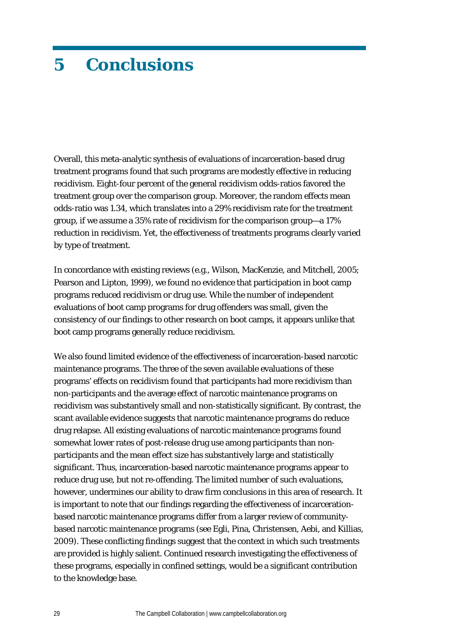## **5 Conclusions**

Overall, this meta-analytic synthesis of evaluations of incarceration-based drug treatment programs found that such programs are modestly effective in reducing recidivism. Eight-four percent of the general recidivism odds-ratios favored the treatment group over the comparison group. Moreover, the random effects mean odds-ratio was 1.34, which translates into a 29% recidivism rate for the treatment group, if we assume a 35% rate of recidivism for the comparison group—a 17% reduction in recidivism. Yet, the effectiveness of treatments programs clearly varied by type of treatment.

In concordance with existing reviews (e.g., Wilson, MacKenzie, and Mitchell, 2005; Pearson and Lipton, 1999), we found no evidence that participation in boot camp programs reduced recidivism or drug use. While the number of independent evaluations of boot camp programs for drug offenders was small, given the consistency of our findings to other research on boot camps, it appears unlike that boot camp programs generally reduce recidivism.

We also found limited evidence of the effectiveness of incarceration-based narcotic maintenance programs. The three of the seven available evaluations of these programs' effects on recidivism found that participants had more recidivism than non-participants and the average effect of narcotic maintenance programs on recidivism was substantively small and non-statistically significant. By contrast, the scant available evidence suggests that narcotic maintenance programs do reduce drug relapse. All existing evaluations of narcotic maintenance programs found somewhat lower rates of post-release drug use among participants than nonparticipants and the mean effect size has substantively large and statistically significant. Thus, incarceration-based narcotic maintenance programs appear to reduce drug use, but not re-offending. The limited number of such evaluations, however, undermines our ability to draw firm conclusions in this area of research. It is important to note that our findings regarding the effectiveness of incarcerationbased narcotic maintenance programs differ from a larger review of communitybased narcotic maintenance programs (see Egli, Pina, Christensen, Aebi, and Killias, 2009). These conflicting findings suggest that the context in which such treatments are provided is highly salient. Continued research investigating the effectiveness of these programs, especially in confined settings, would be a significant contribution to the knowledge base.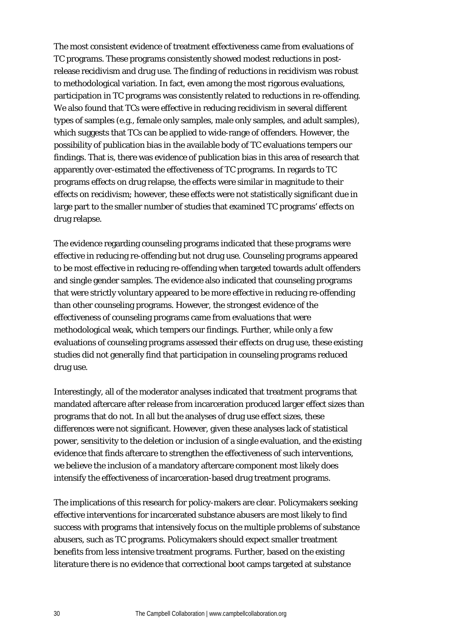The most consistent evidence of treatment effectiveness came from evaluations of TC programs. These programs consistently showed modest reductions in postrelease recidivism and drug use. The finding of reductions in recidivism was robust to methodological variation. In fact, even among the most rigorous evaluations, participation in TC programs was consistently related to reductions in re-offending. We also found that TCs were effective in reducing recidivism in several different types of samples (e.g., female only samples, male only samples, and adult samples), which suggests that TCs can be applied to wide-range of offenders. However, the possibility of publication bias in the available body of TC evaluations tempers our findings. That is, there was evidence of publication bias in this area of research that apparently over-estimated the effectiveness of TC programs. In regards to TC programs effects on drug relapse, the effects were similar in magnitude to their effects on recidivism; however, these effects were not statistically significant due in large part to the smaller number of studies that examined TC programs' effects on drug relapse.

The evidence regarding counseling programs indicated that these programs were effective in reducing re-offending but not drug use. Counseling programs appeared to be most effective in reducing re-offending when targeted towards adult offenders and single gender samples. The evidence also indicated that counseling programs that were strictly voluntary appeared to be more effective in reducing re-offending than other counseling programs. However, the strongest evidence of the effectiveness of counseling programs came from evaluations that were methodological weak, which tempers our findings. Further, while only a few evaluations of counseling programs assessed their effects on drug use, these existing studies did not generally find that participation in counseling programs reduced drug use.

Interestingly, all of the moderator analyses indicated that treatment programs that mandated aftercare after release from incarceration produced larger effect sizes than programs that do not. In all but the analyses of drug use effect sizes, these differences were not significant. However, given these analyses lack of statistical power, sensitivity to the deletion or inclusion of a single evaluation, and the existing evidence that finds aftercare to strengthen the effectiveness of such interventions, we believe the inclusion of a mandatory aftercare component most likely does intensify the effectiveness of incarceration-based drug treatment programs.

The implications of this research for policy-makers are clear. Policymakers seeking effective interventions for incarcerated substance abusers are most likely to find success with programs that intensively focus on the multiple problems of substance abusers, such as TC programs. Policymakers should expect smaller treatment benefits from less intensive treatment programs. Further, based on the existing literature there is no evidence that correctional boot camps targeted at substance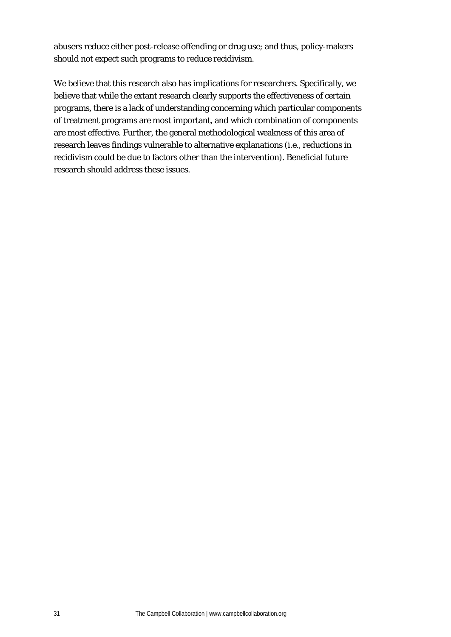abusers reduce either post-release offending or drug use; and thus, policy-makers should not expect such programs to reduce recidivism.

We believe that this research also has implications for researchers. Specifically, we believe that while the extant research clearly supports the effectiveness of certain programs, there is a lack of understanding concerning which particular components of treatment programs are most important, and which combination of components are most effective. Further, the general methodological weakness of this area of research leaves findings vulnerable to alternative explanations (i.e., reductions in recidivism could be due to factors other than the intervention). Beneficial future research should address these issues.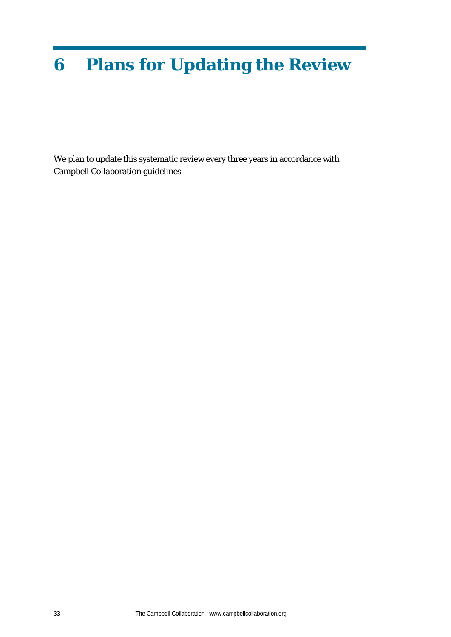# **6 Plans for Updating the Review**

We plan to update this systematic review every three years in accordance with Campbell Collaboration guidelines.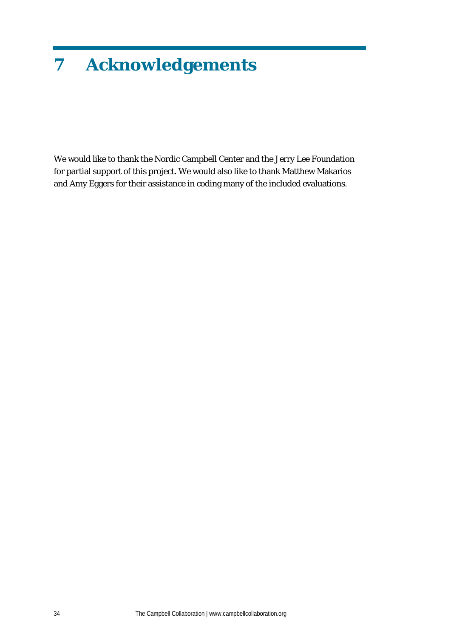# **7 Acknowledgements**

We would like to thank the Nordic Campbell Center and the Jerry Lee Foundation for partial support of this project. We would also like to thank Matthew Makarios and Amy Eggers for their assistance in coding many of the included evaluations.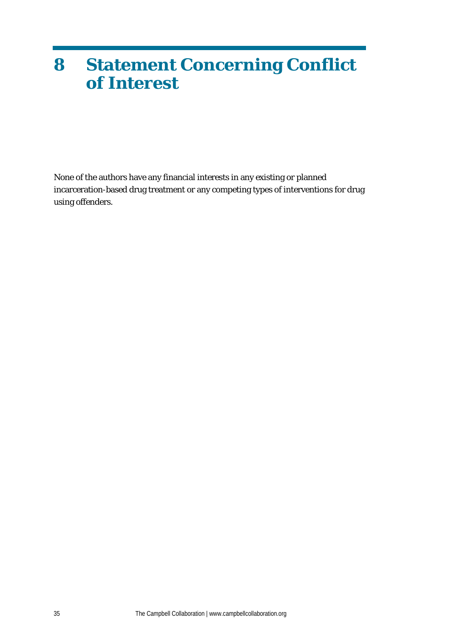## **8 Statement Concerning Conflict of Interest**

None of the authors have any financial interests in any existing or planned incarceration-based drug treatment or any competing types of interventions for drug using offenders.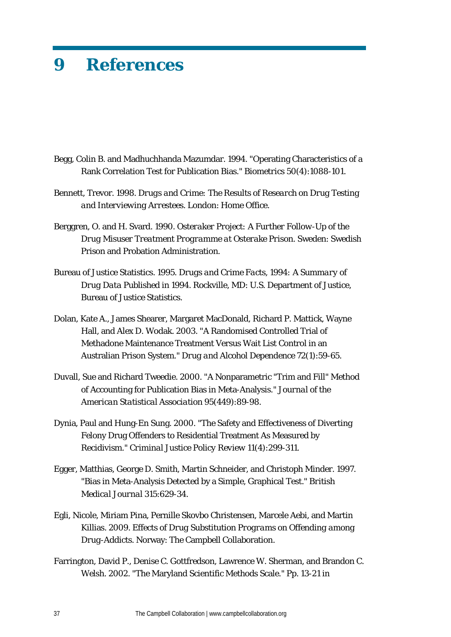## **9 References**

- Begg, Colin B. and Madhuchhanda Mazumdar. 1994. "Operating Characteristics of a Rank Correlation Test for Publication Bias." *Biometrics* 50(4):1088-101.
- Bennett, Trevor. 1998. *Drugs and Crime: The Results of Research on Drug Testing and Interviewing Arrestees*. London: Home Office.
- Berggren, O. and H. Svard. 1990. *Osteraker Project: A Further Follow-Up of the Drug Misuser Treatment Programme at Osterake Prison*. Sweden: Swedish Prison and Probation Administration.
- Bureau of Justice Statistics. 1995. *Drugs and Crime Facts, 1994: A Summary of Drug Data Published in 1994*. Rockville, MD: U.S. Department of Justice, Bureau of Justice Statistics.
- Dolan, Kate A., James Shearer, Margaret MacDonald, Richard P. Mattick, Wayne Hall, and Alex D. Wodak. 2003. "A Randomised Controlled Trial of Methadone Maintenance Treatment Versus Wait List Control in an Australian Prison System." *Drug and Alcohol Dependence* 72(1):59-65.
- Duvall, Sue and Richard Tweedie. 2000. "A Nonparametric "Trim and Fill" Method of Accounting for Publication Bias in Meta-Analysis." *Journal of the American Statistical Association* 95(449):89-98.
- Dynia, Paul and Hung-En Sung. 2000. "The Safety and Effectiveness of Diverting Felony Drug Offenders to Residential Treatment As Measured by Recidivism." *Criminal Justice Policy Review* 11(4):299-311.
- Egger, Matthias, George D. Smith, Martin Schneider, and Christoph Minder. 1997. "Bias in Meta-Analysis Detected by a Simple, Graphical Test." *British Medical Journal* 315:629-34.
- Egli, Nicole, Miriam Pina, Pernille Skovbo Christensen, Marcele Aebi, and Martin Killias. 2009. *Effects of Drug Substitution Programs on Offending among Drug-Addicts.* Norway: The Campbell Collaboration.
- Farrington, David P., Denise C. Gottfredson, Lawrence W. Sherman, and Brandon C. Welsh. 2002. "The Maryland Scientific Methods Scale." Pp. 13-21 in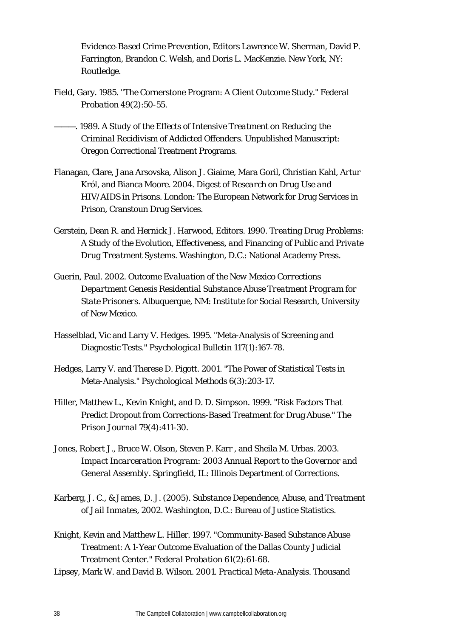*Evidence-Based Crime Prevention*, Editors Lawrence W. Sherman, David P. Farrington, Brandon C. Welsh, and Doris L. MacKenzie. New York, NY: Routledge.

- Field, Gary. 1985. "The Cornerstone Program: A Client Outcome Study." *Federal Probation* 49(2):50-55.
- ———. 1989. *A Study of the Effects of Intensive Treatment on Reducing the Criminal Recidivism of Addicted Offenders*. Unpublished Manuscript: Oregon Correctional Treatment Programs.
- Flanagan, Clare, Jana Arsovska, Alison J. Giaime, Mara Goril, Christian Kahl, Artur Król, and Bianca Moore. 2004. *Digest of Research on Drug Use and HIV/AIDS in Prisons*. London: The European Network for Drug Services in Prison, Cranstoun Drug Services.
- Gerstein, Dean R. and Hernick J. Harwood, Editors. 1990. *Treating Drug Problems: A Study of the Evolution, Effectiveness, and Financing of Public and Private Drug Treatment Systems.* Washington, D.C.: National Academy Press.
- Guerin, Paul. 2002. *Outcome Evaluation of the New Mexico Corrections Department Genesis Residential Substance Abuse Treatment Program for State Prisoners*. Albuquerque, NM: Institute for Social Research, University of New Mexico.
- Hasselblad, Vic and Larry V. Hedges. 1995. "Meta-Analysis of Screening and Diagnostic Tests." *Psychological Bulletin* 117(1):167-78.
- Hedges, Larry V. and Therese D. Pigott. 2001. "The Power of Statistical Tests in Meta-Analysis." *Psychological Methods* 6(3):203-17.
- Hiller, Matthew L., Kevin Knight, and D. D. Simpson. 1999. "Risk Factors That Predict Dropout from Corrections-Based Treatment for Drug Abuse." *The Prison Journal* 79(4):411-30.
- Jones, Robert J., Bruce W. Olson, Steven P. Karr , and Sheila M. Urbas. 2003. *Impact Incarceration Program: 2003 Annual Report to the Governor and General Assembly*. Springfield, IL: Illinois Department of Corrections.
- Karberg, J. C., & James, D. J. (2005). *Substance Dependence, Abuse, and Treatment of Jail Inmates, 2002*. Washington, D.C.: Bureau of Justice Statistics.
- Knight, Kevin and Matthew L. Hiller. 1997. "Community-Based Substance Abuse Treatment: A 1-Year Outcome Evaluation of the Dallas County Judicial Treatment Center." *Federal Probation* 61(2):61-68.
- Lipsey, Mark W. and David B. Wilson. 2001. *Practical Meta-Analysis*. Thousand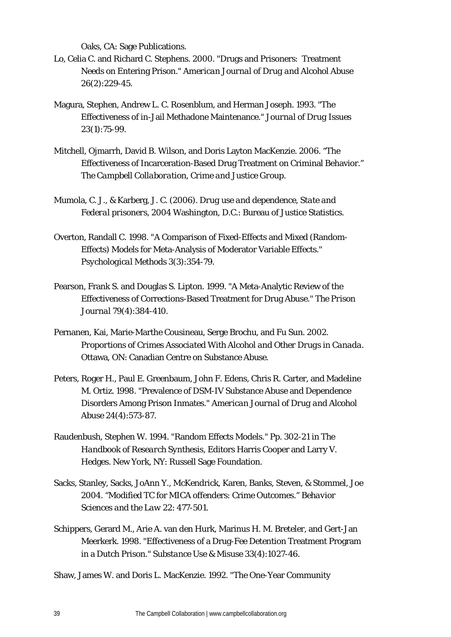Oaks, CA: Sage Publications.

- Lo, Celia C. and Richard C. Stephens. 2000. "Drugs and Prisoners: Treatment Needs on Entering Prison." *American Journal of Drug and Alcohol Abuse* 26(2):229-45.
- Magura, Stephen, Andrew L. C. Rosenblum, and Herman Joseph. 1993. "The Effectiveness of in-Jail Methadone Maintenance." *Journal of Drug Issues* 23(1):75-99.
- Mitchell, Ojmarrh, David B. Wilson, and Doris Layton MacKenzie. 2006. "The Effectiveness of Incarceration-Based Drug Treatment on Criminal Behavior." *The Campbell Collaboration, Crime and Justice Group*.
- Mumola, C. J., & Karberg, J. C. (2006). *Drug use and dependence, State and Federal prisoners, 2004* Washington, D.C.: Bureau of Justice Statistics.
- Overton, Randall C. 1998. "A Comparison of Fixed-Effects and Mixed (Random-Effects) Models for Meta-Analysis of Moderator Variable Effects." *Psychological Methods* 3(3):354-79.
- Pearson, Frank S. and Douglas S. Lipton. 1999. "A Meta-Analytic Review of the Effectiveness of Corrections-Based Treatment for Drug Abuse." *The Prison Journal* 79(4):384-410.
- Pernanen, Kai, Marie-Marthe Cousineau, Serge Brochu, and Fu Sun. 2002. *Proportions of Crimes Associated With Alcohol and Other Drugs in Canada*. Ottawa, ON: Canadian Centre on Substance Abuse.
- Peters, Roger H., Paul E. Greenbaum, John F. Edens, Chris R. Carter, and Madeline M. Ortiz. 1998. "Prevalence of DSM-IV Substance Abuse and Dependence Disorders Among Prison Inmates." *American Journal of Drug and Alcohol Abuse* 24(4):573-87.
- Raudenbush, Stephen W. 1994. "Random Effects Models." Pp. 302-21 in *The Handbook of Research Synthesis*, Editors Harris Cooper and Larry V. Hedges. New York, NY: Russell Sage Foundation.
- Sacks, Stanley, Sacks, JoAnn Y., McKendrick, Karen, Banks, Steven, & Stommel, Joe 2004. "Modified TC for MICA offenders: Crime Outcomes." *Behavior Sciences and the Law* 22: 477-501.
- Schippers, Gerard M., Arie A. van den Hurk, Marinus H. M. Breteler, and Gert-Jan Meerkerk. 1998. "Effectiveness of a Drug-Fee Detention Treatment Program in a Dutch Prison." *Substance Use & Misuse* 33(4):1027-46.

Shaw, James W. and Doris L. MacKenzie. 1992. "The One-Year Community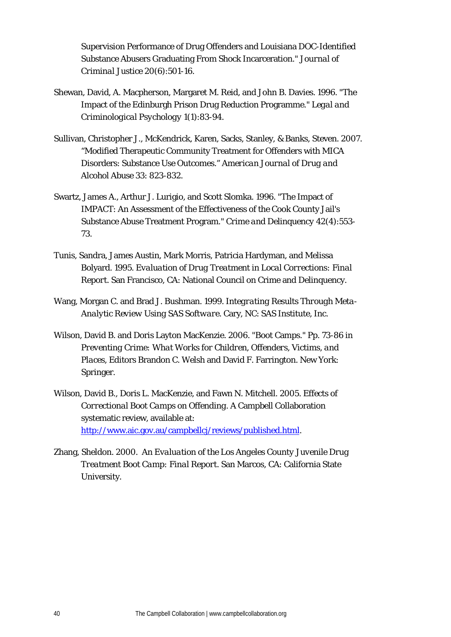Supervision Performance of Drug Offenders and Louisiana DOC-Identified Substance Abusers Graduating From Shock Incarceration." *Journal of Criminal Justice* 20(6):501-16.

- Shewan, David, A. Macpherson, Margaret M. Reid, and John B. Davies. 1996. "The Impact of the Edinburgh Prison Drug Reduction Programme." *Legal and Criminological Psychology* 1(1):83-94.
- Sullivan, Christopher J., McKendrick, Karen, Sacks, Stanley, & Banks, Steven. 2007. "Modified Therapeutic Community Treatment for Offenders with MICA Disorders: Substance Use Outcomes." *American Journal of Drug and Alcohol Abuse* 33: 823-832.
- Swartz, James A., Arthur J. Lurigio, and Scott Slomka. 1996. "The Impact of IMPACT: An Assessment of the Effectiveness of the Cook County Jail's Substance Abuse Treatment Program." *Crime and Delinquency* 42(4):553- 73.
- Tunis, Sandra, James Austin, Mark Morris, Patricia Hardyman, and Melissa Bolyard. 1995. *Evaluation of Drug Treatment in Local Corrections: Final Report*. San Francisco, CA: National Council on Crime and Delinquency.
- Wang, Morgan C. and Brad J. Bushman. 1999. *Integrating Results Through Meta-Analytic Review Using SAS Software*. Cary, NC: SAS Institute, Inc.
- Wilson, David B. and Doris Layton MacKenzie. 2006. "Boot Camps." Pp. 73-86 in *Preventing Crime: What Works for Children, Offenders, Victims, and Places*, Editors Brandon C. Welsh and David F. Farrington. New York: Springer.
- Wilson, David B., Doris L. MacKenzie, and Fawn N. Mitchell. 2005. *Effects of Correctional Boot Camps on Offending*. A Campbell Collaboration systematic review, available at: [http://www.aic.gov.au/campbellcj/reviews/published.html.](http://www.aic.gov.au/campbellcj/reviews/published.html)
- Zhang, Sheldon. 2000. *An Evaluation of the Los Angeles County Juvenile Drug Treatment Boot Camp: Final Report*. San Marcos, CA: California State University.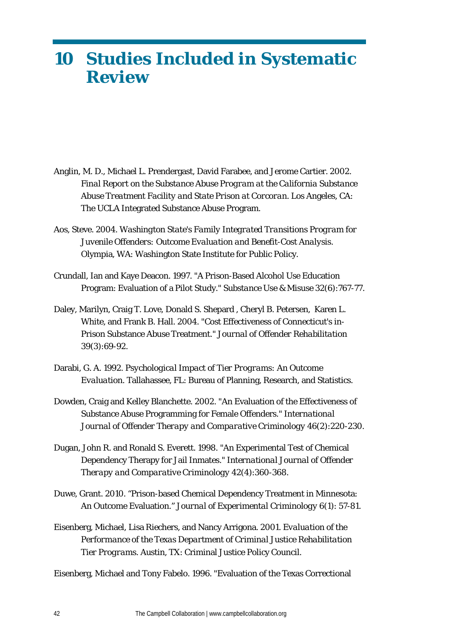## **10 Studies Included in Systematic Review**

- Anglin, M. D., Michael L. Prendergast, David Farabee, and Jerome Cartier. 2002. *Final Report on the Substance Abuse Program at the California Substance Abuse Treatment Facility and State Prison at Corcoran*. Los Angeles, CA: The UCLA Integrated Substance Abuse Program.
- Aos, Steve. 2004. *Washington State's Family Integrated Transitions Program for Juvenile Offenders: Outcome Evaluation and Benefit-Cost Analysis*. Olympia, WA: Washington State Institute for Public Policy.
- Crundall, Ian and Kaye Deacon. 1997. "A Prison-Based Alcohol Use Education Program: Evaluation of a Pilot Study." *Substance Use & Misuse* 32(6):767-77.
- Daley, Marilyn, Craig T. Love, Donald S. Shepard , Cheryl B. Petersen, Karen L. White, and Frank B. Hall. 2004. "Cost Effectiveness of Connecticut's in-Prison Substance Abuse Treatment." *Journal of Offender Rehabilitation* 39(3):69-92.
- Darabi, G. A. 1992. *Psychological Impact of Tier Programs: An Outcome Evaluation*. Tallahassee, FL: Bureau of Planning, Research, and Statistics.
- Dowden, Craig and Kelley Blanchette. 2002. "An Evaluation of the Effectiveness of Substance Abuse Programming for Female Offenders." *International Journal of Offender Therapy and Comparative Criminology* 46(2):220-230.
- Dugan, John R. and Ronald S. Everett. 1998. "An Experimental Test of Chemical Dependency Therapy for Jail Inmates." *International Journal of Offender Therapy and Comparative Criminology* 42(4):360-368.
- Duwe, Grant. 2010. "Prison-based Chemical Dependency Treatment in Minnesota: An Outcome Evaluation." *Journal of Experimental Criminology* 6(1): 57-81.
- Eisenberg, Michael, Lisa Riechers, and Nancy Arrigona. 2001. *Evaluation of the Performance of the Texas Department of Criminal Justice Rehabilitation Tier Programs*. Austin, TX: Criminal Justice Policy Council.

Eisenberg, Michael and Tony Fabelo. 1996. "Evaluation of the Texas Correctional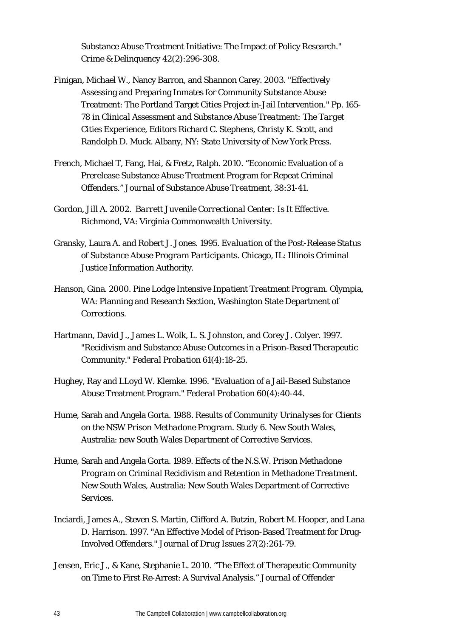Substance Abuse Treatment Initiative: The Impact of Policy Research." *Crime & Delinquency* 42(2):296-308.

- Finigan, Michael W., Nancy Barron, and Shannon Carey. 2003. "Effectively Assessing and Preparing Inmates for Community Substance Abuse Treatment: The Portland Target Cities Project in-Jail Intervention." Pp. 165- 78 in *Clinical Assessment and Substance Abuse Treatment: The Target Cities Experience*, Editors Richard C. Stephens, Christy K. Scott, and Randolph D. Muck. Albany, NY: State University of New York Press.
- French, Michael T, Fang, Hai, & Fretz, Ralph. 2010. "Economic Evaluation of a Prerelease Substance Abuse Treatment Program for Repeat Criminal Offenders." *Journal of Substance Abuse Treatment*, 38:31-41.
- Gordon, Jill A. 2002. *Barrett Juvenile Correctional Center: Is It Effective*. Richmond, VA: Virginia Commonwealth University.
- Gransky, Laura A. and Robert J. Jones. 1995. *Evaluation of the Post-Release Status of Substance Abuse Program Participants*. Chicago, IL: Illinois Criminal Justice Information Authority.
- Hanson, Gina. 2000. *Pine Lodge Intensive Inpatient Treatment Program*. Olympia, WA: Planning and Research Section, Washington State Department of Corrections.
- Hartmann, David J., James L. Wolk, L. S. Johnston, and Corey J. Colyer. 1997. "Recidivism and Substance Abuse Outcomes in a Prison-Based Therapeutic Community." *Federal Probation* 61(4):18-25.
- Hughey, Ray and LLoyd W. Klemke. 1996. "Evaluation of a Jail-Based Substance Abuse Treatment Program." *Federal Probation* 60(4):40-44.
- Hume, Sarah and Angela Gorta. 1988. *Results of Community Urinalyses for Clients on the NSW Prison Methadone Program. Study 6*. New South Wales, Australia: new South Wales Department of Corrective Services.
- Hume, Sarah and Angela Gorta. 1989. *Effects of the N.S.W. Prison Methadone Program on Criminal Recidivism and Retention in Methadone Treatment*. New South Wales, Australia: New South Wales Department of Corrective Services.
- Inciardi, James A., Steven S. Martin, Clifford A. Butzin, Robert M. Hooper, and Lana D. Harrison. 1997. "An Effective Model of Prison-Based Treatment for Drug-Involved Offenders." *Journal of Drug Issues* 27(2):261-79.
- Jensen, Eric J., & Kane, Stephanie L. 2010. "The Effect of Therapeutic Community on Time to First Re-Arrest: A Survival Analysis." *Journal of Offender*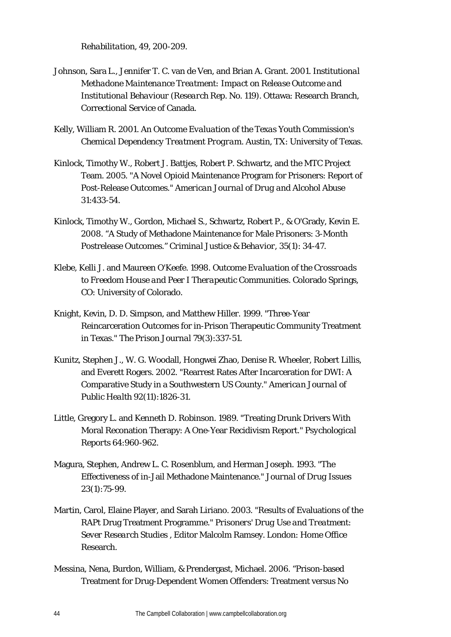*Rehabilitation*, 49, 200-209.

- Johnson, Sara L., Jennifer T. C. van de Ven, and Brian A. Grant. 2001. *Institutional Methadone Maintenance Treatment: Impact on Release Outcome and Institutional Behaviour (Research Rep. No. 119)*. Ottawa: Research Branch, Correctional Service of Canada.
- Kelly, William R. 2001. *An Outcome Evaluation of the Texas Youth Commission's Chemical Dependency Treatment Program*. Austin, TX: University of Texas.
- Kinlock, Timothy W., Robert J. Battjes, Robert P. Schwartz, and the MTC Project Team. 2005. "A Novel Opioid Maintenance Program for Prisoners: Report of Post-Release Outcomes." *American Journal of Drug and Alcohol Abuse* 31:433-54.
- Kinlock, Timothy W., Gordon, Michael S., Schwartz, Robert P., & O'Grady, Kevin E. 2008. "A Study of Methadone Maintenance for Male Prisoners: 3-Month Postrelease Outcomes." *Criminal Justice & Behavior*, 35(1): 34-47.
- Klebe, Kelli J. and Maureen O'Keefe. 1998. *Outcome Evaluation of the Crossroads to Freedom House and Peer I Therapeutic Communities*. Colorado Springs, CO: University of Colorado.
- Knight, Kevin, D. D. Simpson, and Matthew Hiller. 1999. "Three-Year Reincarceration Outcomes for in-Prison Therapeutic Community Treatment in Texas." *The Prison Journal* 79(3):337-51.
- Kunitz, Stephen J., W. G. Woodall, Hongwei Zhao, Denise R. Wheeler, Robert Lillis, and Everett Rogers. 2002. "Rearrest Rates After Incarceration for DWI: A Comparative Study in a Southwestern US County." *American Journal of Public Health* 92(11):1826-31.
- Little, Gregory L. and Kenneth D. Robinson. 1989. "Treating Drunk Drivers With Moral Reconation Therapy: A One-Year Recidivism Report." *Psychological Reports* 64:960-962.
- Magura, Stephen, Andrew L. C. Rosenblum, and Herman Joseph. 1993. "The Effectiveness of in-Jail Methadone Maintenance." *Journal of Drug Issues* 23(1):75-99.
- Martin, Carol, Elaine Player, and Sarah Liriano. 2003. "Results of Evaluations of the RAPt Drug Treatment Programme." *Prisoners' Drug Use and Treatment: Sever Research Studies* , Editor Malcolm Ramsey. London: Home Office Research.
- Messina, Nena, Burdon, William, & Prendergast, Michael. 2006. "Prison-based Treatment for Drug-Dependent Women Offenders: Treatment versus No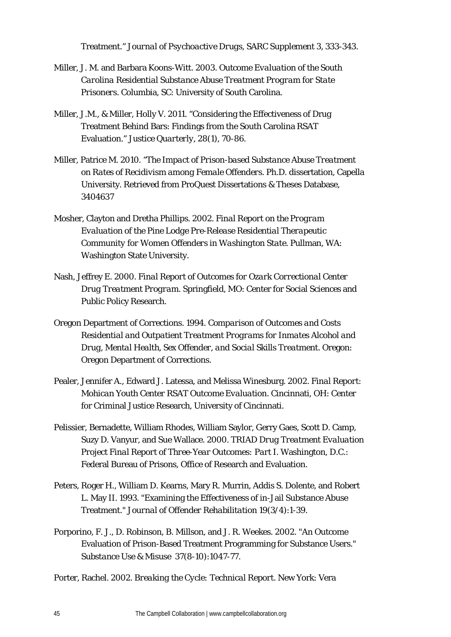Treatment." *Journal of Psychoactive Drugs, SARC Supplement 3*, 333-343.

- Miller, J. M. and Barbara Koons-Witt. 2003. *Outcome Evaluation of the South Carolina Residential Substance Abuse Treatment Program for State Prisoners*. Columbia, SC: University of South Carolina.
- Miller, J.M., & Miller, Holly V. 2011. "Considering the Effectiveness of Drug Treatment Behind Bars: Findings from the South Carolina RSAT Evaluation." *Justice Quarterly*, 28(1), 70-86.
- Miller, Patrice M. 2010. "*The Impact of Prison-based Substance Abuse Treatment on Rates of Recidivism among Female Offenders.* Ph.D. dissertation, Capella University. Retrieved from ProQuest Dissertations & Theses Database, 3404637
- Mosher, Clayton and Dretha Phillips. 2002. *Final Report on the Program Evaluation of the Pine Lodge Pre-Release Residential Therapeutic Community for Women Offenders in Washington State*. Pullman, WA: Washington State University.
- Nash, Jeffrey E. 2000. *Final Report of Outcomes for Ozark Correctional Center Drug Treatment Program*. Springfield, MO: Center for Social Sciences and Public Policy Research.
- Oregon Department of Corrections. 1994. *Comparison of Outcomes and Costs Residential and Outpatient Treatment Programs for Inmates Alcohol and Drug, Mental Health, Sex Offender, and Social Skills Treatment*. Oregon: Oregon Department of Corrections.
- Pealer, Jennifer A., Edward J. Latessa, and Melissa Winesburg. 2002. *Final Report: Mohican Youth Center RSAT Outcome Evaluation*. Cincinnati, OH: Center for Criminal Justice Research, University of Cincinnati.
- Pelissier, Bernadette, William Rhodes, William Saylor, Gerry Gaes, Scott D. Camp, Suzy D. Vanyur, and Sue Wallace. 2000. *TRIAD Drug Treatment Evaluation Project Final Report of Three-Year Outcomes: Part I*. Washington, D.C.: Federal Bureau of Prisons, Office of Research and Evaluation.
- Peters, Roger H., William D. Kearns, Mary R. Murrin, Addis S. Dolente, and Robert L. May II. 1993. "Examining the Effectiveness of in-Jail Substance Abuse Treatment." *Journal of Offender Rehabilitation* 19(3/4):1-39.
- Porporino, F. J., D. Robinson, B. Millson, and J. R. Weekes. 2002. "An Outcome Evaluation of Prison-Based Treatment Programming for Substance Users." *Substance Use & Misuse* 37(8-10):1047-77.

Porter, Rachel. 2002. *Breaking the Cycle: Technical Report*. New York: Vera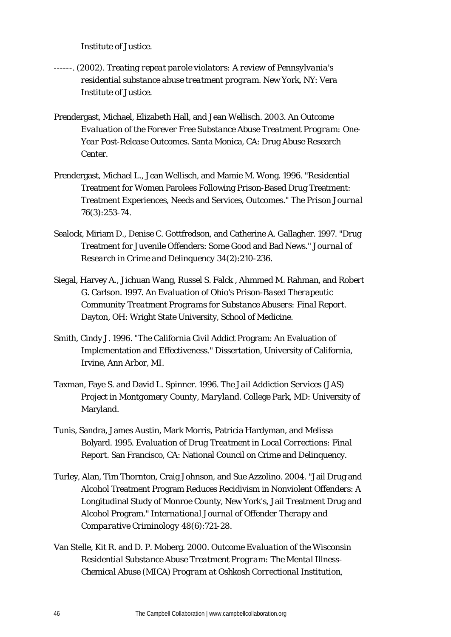Institute of Justice.

- ------. (2002). *Treating repeat parole violators: A review of Pennsylvania's residential substance abuse treatment program.* New York, NY: Vera Institute of Justice.
- Prendergast, Michael, Elizabeth Hall, and Jean Wellisch. 2003. *An Outcome Evaluation of the Forever Free Substance Abuse Treatment Program: One-Year Post-Release Outcomes*. Santa Monica, CA: Drug Abuse Research Center.
- Prendergast, Michael L., Jean Wellisch, and Mamie M. Wong. 1996. "Residential Treatment for Women Parolees Following Prison-Based Drug Treatment: Treatment Experiences, Needs and Services, Outcomes." *The Prison Journal* 76(3):253-74.
- Sealock, Miriam D., Denise C. Gottfredson, and Catherine A. Gallagher. 1997. "Drug Treatment for Juvenile Offenders: Some Good and Bad News." *Journal of Research in Crime and Delinquency* 34(2):210-236.
- Siegal, Harvey A., Jichuan Wang, Russel S. Falck , Ahmmed M. Rahman, and Robert G. Carlson. 1997. *An Evaluation of Ohio's Prison-Based Therapeutic Community Treatment Programs for Substance Abusers: Final Report*. Dayton, OH: Wright State University, School of Medicine.
- Smith, Cindy J. 1996. "The California Civil Addict Program: An Evaluation of Implementation and Effectiveness." Dissertation, University of California, Irvine, Ann Arbor, MI.
- Taxman, Faye S. and David L. Spinner. 1996. *The Jail Addiction Services (JAS) Project in Montgomery County, Maryland*. College Park, MD: University of Maryland.
- Tunis, Sandra, James Austin, Mark Morris, Patricia Hardyman, and Melissa Bolyard. 1995. *Evaluation of Drug Treatment in Local Corrections: Final Report*. San Francisco, CA: National Council on Crime and Delinquency.
- Turley, Alan, Tim Thornton, Craig Johnson, and Sue Azzolino. 2004. "Jail Drug and Alcohol Treatment Program Reduces Recidivism in Nonviolent Offenders: A Longitudinal Study of Monroe County, New York's, Jail Treatment Drug and Alcohol Program." *International Journal of Offender Therapy and Comparative Criminology* 48(6):721-28.
- Van Stelle, Kit R. and D. P. Moberg. 2000. *Outcome Evaluation of the Wisconsin Residential Substance Abuse Treatment Program: The Mental Illness-Chemical Abuse (MICA) Program at Oshkosh Correctional Institution,*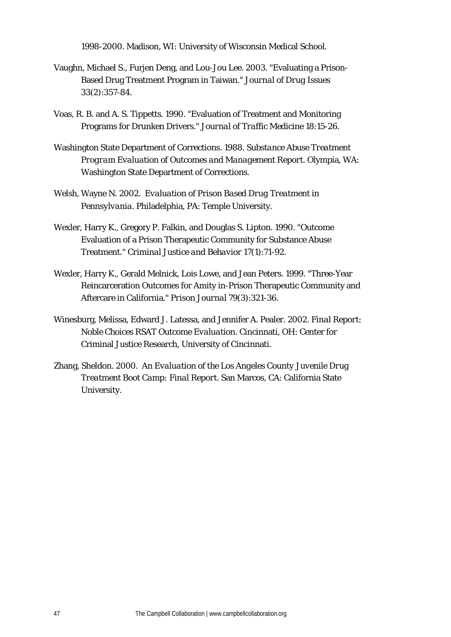*1998-2000*. Madison, WI: University of Wisconsin Medical School.

- Vaughn, Michael S., Furjen Deng, and Lou-Jou Lee. 2003. "Evaluating a Prison-Based Drug Treatment Program in Taiwan." *Journal of Drug Issues* 33(2):357-84.
- Voas, R. B. and A. S. Tippetts. 1990. "Evaluation of Treatment and Monitoring Programs for Drunken Drivers." *Journal of Traffic Medicine* 18:15-26.
- Washington State Department of Corrections. 1988. *Substance Abuse Treatment Program Evaluation of Outcomes and Management Report*. Olympia, WA: Washington State Department of Corrections.
- Welsh, Wayne N. 2002. *Evaluation of Prison Based Drug Treatment in Pennsylvania*. Philadelphia, PA: Temple University.
- Wexler, Harry K., Gregory P. Falkin, and Douglas S. Lipton. 1990. "Outcome Evaluation of a Prison Therapeutic Community for Substance Abuse Treatment." *Criminal Justice and Behavior* 17(1):71-92.
- Wexler, Harry K., Gerald Melnick, Lois Lowe, and Jean Peters. 1999. "Three-Year Reincarceration Outcomes for Amity in-Prison Therapeutic Community and Aftercare in California." *Prison Journal* 79(3):321-36.
- Winesburg, Melissa, Edward J. Latessa, and Jennifer A. Pealer. 2002. *Final Report: Noble Choices RSAT Outcome Evaluation*. Cincinnati, OH: Center for Criminal Justice Research, University of Cincinnati.
- Zhang, Sheldon. 2000. *An Evaluation of the Los Angeles County Juvenile Drug Treatment Boot Camp: Final Report*. San Marcos, CA: California State University.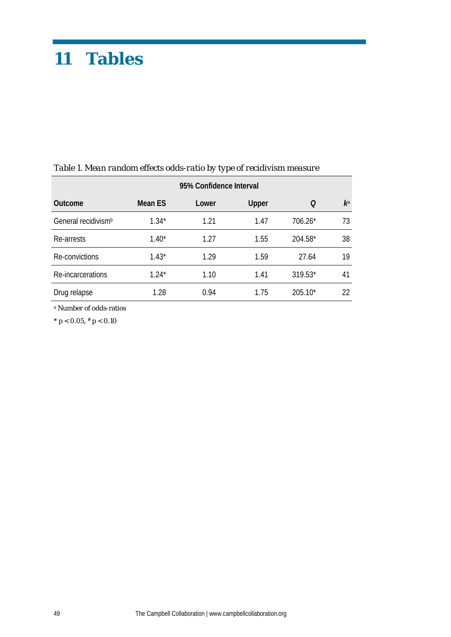# **11 Tables**

|                                 | 95% Confidence Interval |       |       |           |       |  |
|---------------------------------|-------------------------|-------|-------|-----------|-------|--|
| <b>Outcome</b>                  | Mean ES                 | Lower | Upper |           | $k^a$ |  |
| General recidivism <sup>b</sup> | $1.34*$                 | 1.21  | 1.47  | 706.26*   | 73    |  |
| Re-arrests                      | $1.40*$                 | 1.27  | 1.55  | 204.58*   | 38    |  |
| Re-convictions                  | $1.43*$                 | 1.29  | 1.59  | 27.64     | 19    |  |
| Re-incarcerations               | $1.24*$                 | 1.10  | 1.41  | 319.53*   | 41    |  |
| Drug relapse                    | 1.28                    | 0.94  | 1.75  | $205.10*$ | 22    |  |

## *Table 1. Mean random effects odds-ratio by type of recidivism measure*

<sup>a</sup> Number of odds-ratios

\* *p* < 0.05, # *p* < 0.10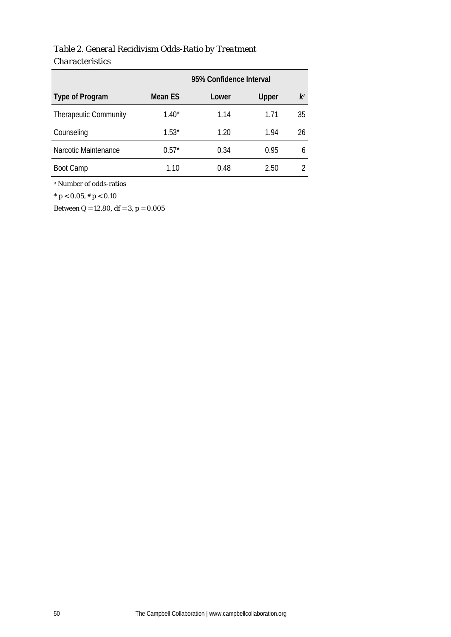## *Table 2. General Recidivism Odds-Ratio by Treatment Characteristics*

|                              | 95% Confidence Interval |       |       |       |
|------------------------------|-------------------------|-------|-------|-------|
| Type of Program              | Mean ES                 | Lower | Upper | $k^a$ |
| <b>Therapeutic Community</b> | $1.40*$                 | 1.14  | 1 71  | 35    |
| Counseling                   | $1.53*$                 | 1.20  | 1.94  | 26    |
| Narcotic Maintenance         | $0.57*$                 | 0.34  | 0.95  | 6     |
| Boot Camp                    | 1.10                    | 0.48  | 2.50  |       |

<sup>a</sup> Number of odds-ratios

\* *p* < 0.05, # *p* < 0.10

Between *Q* = 12.80, *df* = 3, *p* = 0.005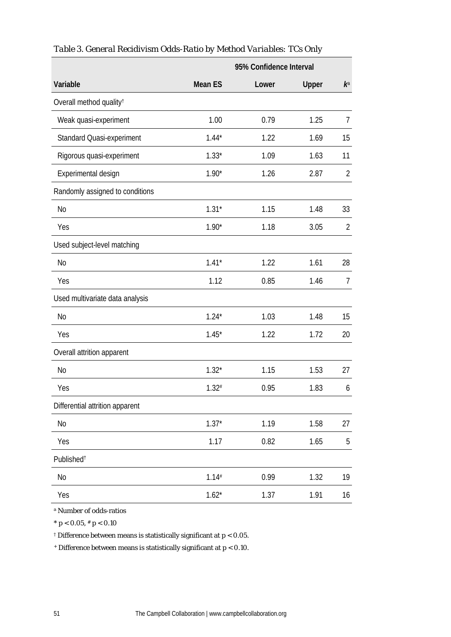|                                     | 95% Confidence Interval |       |       |                |  |  |  |
|-------------------------------------|-------------------------|-------|-------|----------------|--|--|--|
| Variable                            | <b>Mean ES</b>          | Lower | Upper | $k^a$          |  |  |  |
| Overall method quality <sup>t</sup> |                         |       |       |                |  |  |  |
| Weak quasi-experiment               | 1.00                    | 0.79  | 1.25  | $\overline{1}$ |  |  |  |
| Standard Quasi-experiment           | $1.44*$                 | 1.22  | 1.69  | 15             |  |  |  |
| Rigorous quasi-experiment           | $1.33*$                 | 1.09  | 1.63  | 11             |  |  |  |
| Experimental design                 | $1.90*$                 | 1.26  | 2.87  | $\overline{2}$ |  |  |  |
| Randomly assigned to conditions     |                         |       |       |                |  |  |  |
| N <sub>0</sub>                      | $1.31*$                 | 1.15  | 1.48  | 33             |  |  |  |
| Yes                                 | $1.90*$                 | 1.18  | 3.05  | $\overline{2}$ |  |  |  |
| Used subject-level matching         |                         |       |       |                |  |  |  |
| N <sub>o</sub>                      | $1.41*$                 | 1.22  | 1.61  | 28             |  |  |  |
| Yes                                 | 1.12                    | 0.85  | 1.46  | $\overline{7}$ |  |  |  |
| Used multivariate data analysis     |                         |       |       |                |  |  |  |
| N <sub>o</sub>                      | $1.24*$                 | 1.03  | 1.48  | 15             |  |  |  |
| Yes                                 | $1.45*$                 | 1.22  | 1.72  | 20             |  |  |  |
| Overall attrition apparent          |                         |       |       |                |  |  |  |
| N <sub>o</sub>                      | $1.32*$                 | 1.15  | 1.53  | 27             |  |  |  |
| Yes                                 | $1.32*$                 | 0.95  | 1.83  | 6              |  |  |  |
| Differential attrition apparent     |                         |       |       |                |  |  |  |
| N <sub>0</sub>                      | $1.37*$                 | 1.19  | 1.58  | 27             |  |  |  |
| Yes                                 | 1.17                    | 0.82  | 1.65  | 5              |  |  |  |
| Published <sup>t</sup>              |                         |       |       |                |  |  |  |
| No                                  | 1.14#                   | 0.99  | 1.32  | 19             |  |  |  |
| Yes                                 | $1.62*$                 | 1.37  | 1.91  | 16             |  |  |  |

## *Table 3. General Recidivism Odds-Ratio by Method Variables: TCs Only*

<sup>a</sup> Number of odds-ratios

 $^{*}$   $p$  < 0.05,  $^{\#}$   $p$  < 0.10

<sup>†</sup> Difference between means is statistically significant at  $p < 0.05$ .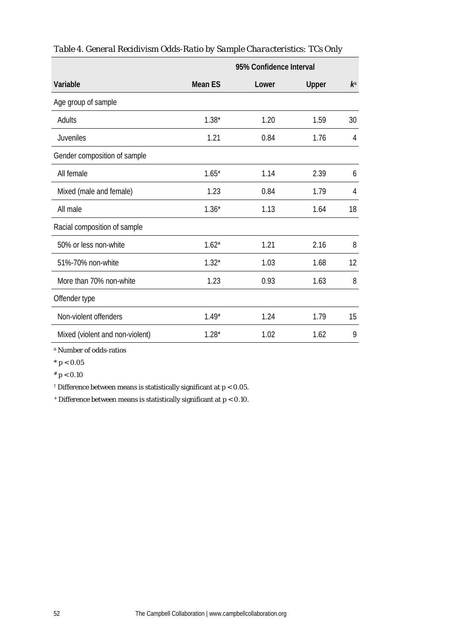|                                 | 95% Confidence Interval |       |       |       |  |  |
|---------------------------------|-------------------------|-------|-------|-------|--|--|
| Variable                        | <b>Mean ES</b>          | Lower | Upper | $k^a$ |  |  |
| Age group of sample             |                         |       |       |       |  |  |
| Adults                          | $1.38*$                 | 1.20  | 1.59  | 30    |  |  |
| <b>Juveniles</b>                | 1.21                    | 0.84  | 1.76  | 4     |  |  |
| Gender composition of sample    |                         |       |       |       |  |  |
| All female                      | $1.65*$                 | 1.14  | 2.39  | 6     |  |  |
| Mixed (male and female)         | 1.23                    | 0.84  | 1.79  | 4     |  |  |
| All male                        | $1.36*$                 | 1.13  | 1.64  | 18    |  |  |
| Racial composition of sample    |                         |       |       |       |  |  |
| 50% or less non-white           | $1.62*$                 | 1.21  | 2.16  | 8     |  |  |
| 51%-70% non-white               | $1.32*$                 | 1.03  | 1.68  | 12    |  |  |
| More than 70% non-white         | 1.23                    | 0.93  | 1.63  | 8     |  |  |
| Offender type                   |                         |       |       |       |  |  |
| Non-violent offenders           | $1.49*$                 | 1.24  | 1.79  | 15    |  |  |
| Mixed (violent and non-violent) | $1.28*$                 | 1.02  | 1.62  | 9     |  |  |

*Table 4. General Recidivism Odds-Ratio by Sample Characteristics: TCs Only*

<sup>a</sup> Number of odds-ratios

 $* p < 0.05$ 

 $* p < 0.10$ 

 $^\dagger$  Difference between means is statistically significant at  $p<0.05.$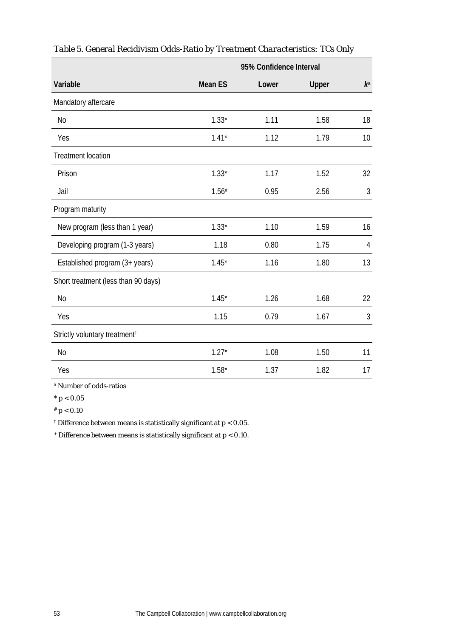|                                           | 95% Confidence Interval |       |       |       |  |
|-------------------------------------------|-------------------------|-------|-------|-------|--|
| Variable                                  | <b>Mean ES</b>          | Lower | Upper | $k^a$ |  |
| Mandatory aftercare                       |                         |       |       |       |  |
| <b>No</b>                                 | $1.33*$                 | 1.11  | 1.58  | 18    |  |
| Yes                                       | $1.41*$                 | 1.12  | 1.79  | 10    |  |
| <b>Treatment location</b>                 |                         |       |       |       |  |
| Prison                                    | $1.33*$                 | 1.17  | 1.52  | 32    |  |
| Jail                                      | 1.56#                   | 0.95  | 2.56  | 3     |  |
| Program maturity                          |                         |       |       |       |  |
| New program (less than 1 year)            | $1.33*$                 | 1.10  | 1.59  | 16    |  |
| Developing program (1-3 years)            | 1.18                    | 0.80  | 1.75  | 4     |  |
| Established program (3+ years)            | $1.45*$                 | 1.16  | 1.80  | 13    |  |
| Short treatment (less than 90 days)       |                         |       |       |       |  |
| <b>No</b>                                 | $1.45*$                 | 1.26  | 1.68  | 22    |  |
| Yes                                       | 1.15                    | 0.79  | 1.67  | 3     |  |
| Strictly voluntary treatment <sup>†</sup> |                         |       |       |       |  |
| N <sub>o</sub>                            | $1.27*$                 | 1.08  | 1.50  | 11    |  |
| Yes                                       | $1.58*$                 | 1.37  | 1.82  | 17    |  |

*Table 5. General Recidivism Odds-Ratio by Treatment Characteristics: TCs Only*

<sup>a</sup> Number of odds-ratios

 $* p < 0.05$ 

 $* p < 0.10$ 

 $^\dagger$  Difference between means is statistically significant at  $p<0.05.$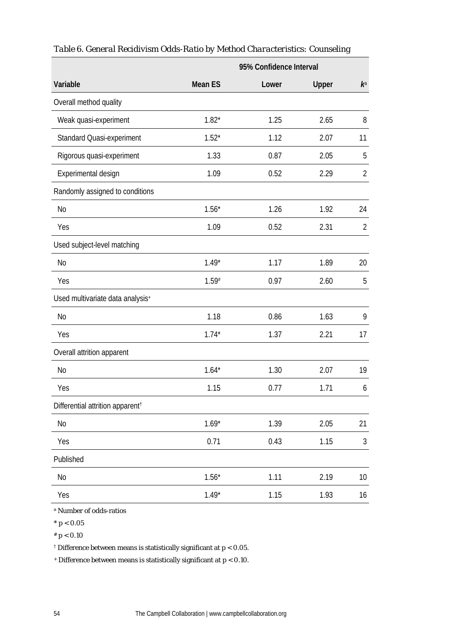|                                              | 95% Confidence Interval |       |       |                |  |  |  |
|----------------------------------------------|-------------------------|-------|-------|----------------|--|--|--|
| Variable                                     | <b>Mean ES</b>          | Lower | Upper | $k^a$          |  |  |  |
| Overall method quality                       |                         |       |       |                |  |  |  |
| Weak quasi-experiment                        | $1.82*$                 | 1.25  | 2.65  | 8              |  |  |  |
| Standard Quasi-experiment                    | $1.52*$                 | 1.12  | 2.07  | 11             |  |  |  |
| Rigorous quasi-experiment                    | 1.33                    | 0.87  | 2.05  | 5              |  |  |  |
| Experimental design                          | 1.09                    | 0.52  | 2.29  | $\overline{2}$ |  |  |  |
| Randomly assigned to conditions              |                         |       |       |                |  |  |  |
| N <sub>0</sub>                               | $1.56*$                 | 1.26  | 1.92  | 24             |  |  |  |
| Yes                                          | 1.09                    | 0.52  | 2.31  | $\overline{2}$ |  |  |  |
| Used subject-level matching                  |                         |       |       |                |  |  |  |
| N <sub>0</sub>                               | $1.49*$                 | 1.17  | 1.89  | 20             |  |  |  |
| Yes                                          | $1.59*$                 | 0.97  | 2.60  | 5              |  |  |  |
| Used multivariate data analysis <sup>+</sup> |                         |       |       |                |  |  |  |
| N <sub>0</sub>                               | 1.18                    | 0.86  | 1.63  | 9              |  |  |  |
| Yes                                          | $1.74*$                 | 1.37  | 2.21  | 17             |  |  |  |
| Overall attrition apparent                   |                         |       |       |                |  |  |  |
| N <sub>0</sub>                               | $1.64*$                 | 1.30  | 2.07  | 19             |  |  |  |
| Yes                                          | 1.15                    | 0.77  | 1.71  | 6              |  |  |  |
| Differential attrition apparent <sup>+</sup> |                         |       |       |                |  |  |  |
| No                                           | $1.69*$                 | 1.39  | 2.05  | 21             |  |  |  |
| Yes                                          | 0.71                    | 0.43  | 1.15  | 3              |  |  |  |
| Published                                    |                         |       |       |                |  |  |  |
| No                                           | $1.56*$                 | 1.11  | 2.19  | 10             |  |  |  |
| Yes                                          | $1.49*$                 | 1.15  | 1.93  | 16             |  |  |  |

## *Table 6. General Recidivism Odds-Ratio by Method Characteristics: Counseling*

<sup>a</sup> Number of odds-ratios

 $*$   $p < 0.05$ 

 $* p < 0.10$ 

 $^\dagger$  Difference between means is statistically significant at  $p<0.05.$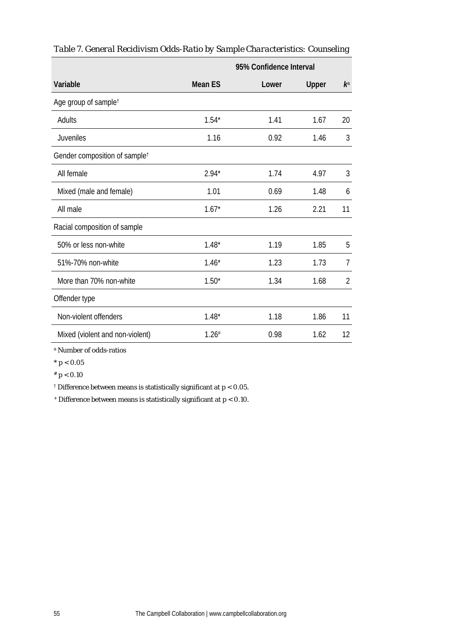|                                           | 95% Confidence Interval |       |       |                |  |  |  |
|-------------------------------------------|-------------------------|-------|-------|----------------|--|--|--|
| Variable                                  | <b>Mean ES</b>          | Lower | Upper | $k^a$          |  |  |  |
| Age group of sample <sup>t</sup>          |                         |       |       |                |  |  |  |
| Adults                                    | $1.54*$                 | 1.41  | 1.67  | 20             |  |  |  |
| <b>Juveniles</b>                          | 1.16                    | 0.92  | 1.46  | 3              |  |  |  |
| Gender composition of sample <sup>t</sup> |                         |       |       |                |  |  |  |
| All female                                | $2.94*$                 | 1.74  | 4.97  | 3              |  |  |  |
| Mixed (male and female)                   | 1.01                    | 0.69  | 1.48  | 6              |  |  |  |
| All male                                  | $1.67*$                 | 1.26  | 2.21  | 11             |  |  |  |
| Racial composition of sample              |                         |       |       |                |  |  |  |
| 50% or less non-white                     | $1.48*$                 | 1.19  | 1.85  | 5              |  |  |  |
| 51%-70% non-white                         | $1.46*$                 | 1.23  | 1.73  | $\overline{7}$ |  |  |  |
| More than 70% non-white                   | $1.50*$                 | 1.34  | 1.68  | $\overline{2}$ |  |  |  |
| Offender type                             |                         |       |       |                |  |  |  |
| Non-violent offenders                     | $1.48*$                 | 1.18  | 1.86  | 11             |  |  |  |
| Mixed (violent and non-violent)           | 1.26#                   | 0.98  | 1.62  | 12             |  |  |  |

*Table 7. General Recidivism Odds-Ratio by Sample Characteristics: Counseling*

<sup>a</sup> Number of odds-ratios

 $*$   $p < 0.05$ 

 $* p < 0.10$ 

 $^\dagger$  Difference between means is statistically significant at  $p<0.05.$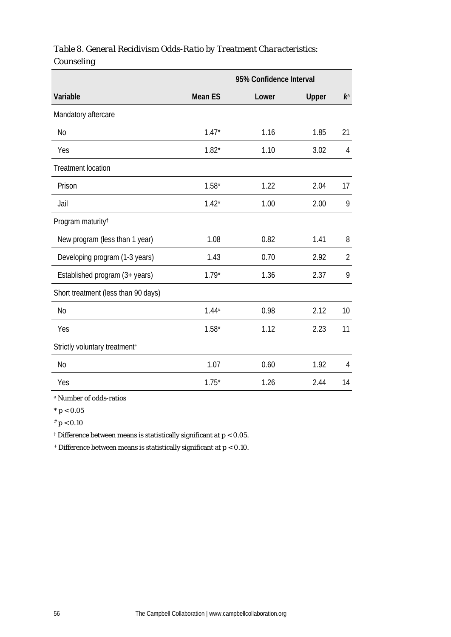|                                     | 95% Confidence Interval |       |       |                |  |  |
|-------------------------------------|-------------------------|-------|-------|----------------|--|--|
| Variable                            | <b>Mean ES</b>          | Lower | Upper | $k^a$          |  |  |
| Mandatory aftercare                 |                         |       |       |                |  |  |
| <b>No</b>                           | $1.47*$                 | 1.16  | 1.85  | 21             |  |  |
| Yes                                 | $1.82*$                 | 1.10  | 3.02  | 4              |  |  |
| <b>Treatment location</b>           |                         |       |       |                |  |  |
| Prison                              | $1.58*$                 | 1.22  | 2.04  | 17             |  |  |
| Jail                                | $1.42*$                 | 1.00  | 2.00  | 9              |  |  |
| Program maturity <sup>†</sup>       |                         |       |       |                |  |  |
| New program (less than 1 year)      | 1.08                    | 0.82  | 1.41  | 8              |  |  |
| Developing program (1-3 years)      | 1.43                    | 0.70  | 2.92  | $\overline{2}$ |  |  |
| Established program (3+ years)      | $1.79*$                 | 1.36  | 2.37  | 9              |  |  |
| Short treatment (less than 90 days) |                         |       |       |                |  |  |
| <b>No</b>                           | $1.44*$                 | 0.98  | 2.12  | 10             |  |  |
| Yes                                 | $1.58*$                 | 1.12  | 2.23  | 11             |  |  |
| Strictly voluntary treatment+       |                         |       |       |                |  |  |
| N <sub>0</sub>                      | 1.07                    | 0.60  | 1.92  | 4              |  |  |
| Yes                                 | $1.75*$                 | 1.26  | 2.44  | 14             |  |  |

## *Table 8. General Recidivism Odds-Ratio by Treatment Characteristics: Counseling*

<sup>a</sup> Number of odds-ratios

 $* p < 0.05$ 

 $^\#$   $p < 0.10$ 

<sup>†</sup> Difference between means is statistically significant at  $p < 0.05$ .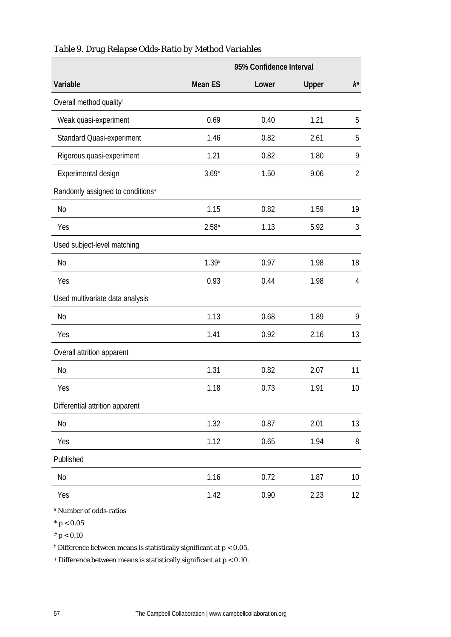|                                              | 95% Confidence Interval |       |              |                |  |
|----------------------------------------------|-------------------------|-------|--------------|----------------|--|
| Variable                                     | <b>Mean ES</b>          | Lower | <b>Upper</b> | $k^a$          |  |
| Overall method quality <sup>t</sup>          |                         |       |              |                |  |
| Weak quasi-experiment                        | 0.69                    | 0.40  | 1.21         | 5              |  |
| Standard Quasi-experiment                    | 1.46                    | 0.82  | 2.61         | 5              |  |
| Rigorous quasi-experiment                    | 1.21                    | 0.82  | 1.80         | 9              |  |
| Experimental design                          | $3.69*$                 | 1.50  | 9.06         | $\overline{2}$ |  |
| Randomly assigned to conditions <sup>+</sup> |                         |       |              |                |  |
| <b>No</b>                                    | 1.15                    | 0.82  | 1.59         | 19             |  |
| Yes                                          | $2.58*$                 | 1.13  | 5.92         | 3              |  |
| Used subject-level matching                  |                         |       |              |                |  |
| No                                           | 1.39#                   | 0.97  | 1.98         | 18             |  |
| Yes                                          | 0.93                    | 0.44  | 1.98         | 4              |  |
| Used multivariate data analysis              |                         |       |              |                |  |
| <b>No</b>                                    | 1.13                    | 0.68  | 1.89         | 9              |  |
| Yes                                          | 1.41                    | 0.92  | 2.16         | 13             |  |
| Overall attrition apparent                   |                         |       |              |                |  |
| <b>No</b>                                    | 1.31                    | 0.82  | 2.07         | 11             |  |
| Yes                                          | 1.18                    | 0.73  | 1.91         | 10             |  |
| Differential attrition apparent              |                         |       |              |                |  |
| No                                           | 1.32                    | 0.87  | 2.01         | 13             |  |
| Yes                                          | 1.12                    | 0.65  | 1.94         | 8              |  |
| Published                                    |                         |       |              |                |  |
| No                                           | 1.16                    | 0.72  | 1.87         | 10             |  |
| Yes                                          | 1.42                    | 0.90  | 2.23         | 12             |  |

## *Table 9. Drug Relapse Odds-Ratio by Method Variables*

<sup>a</sup> Number of odds-ratios

 $* p < 0.05$ 

 $* p < 0.10$ 

 $^\dagger$  Difference between means is statistically significant at  $p<0.05.$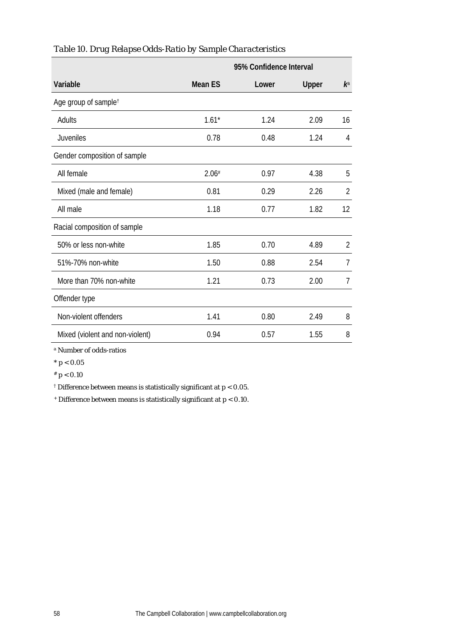|                                  | 95% Confidence Interval |       |       |                |  |
|----------------------------------|-------------------------|-------|-------|----------------|--|
| Variable                         | <b>Mean ES</b>          | Lower | Upper | $k^a$          |  |
| Age group of sample <sup>t</sup> |                         |       |       |                |  |
| Adults                           | $1.61*$                 | 1.24  | 2.09  | 16             |  |
| Juveniles                        | 0.78                    | 0.48  | 1.24  | 4              |  |
| Gender composition of sample     |                         |       |       |                |  |
| All female                       | 2.06#                   | 0.97  | 4.38  | 5              |  |
| Mixed (male and female)          | 0.81                    | 0.29  | 2.26  | $\overline{2}$ |  |
| All male                         | 1.18                    | 0.77  | 1.82  | 12             |  |
| Racial composition of sample     |                         |       |       |                |  |
| 50% or less non-white            | 1.85                    | 0.70  | 4.89  | $\overline{2}$ |  |
| 51%-70% non-white                | 1.50                    | 0.88  | 2.54  | $\overline{7}$ |  |
| More than 70% non-white          | 1.21                    | 0.73  | 2.00  | 7              |  |
| Offender type                    |                         |       |       |                |  |
| Non-violent offenders            | 1.41                    | 0.80  | 2.49  | 8              |  |
| Mixed (violent and non-violent)  | 0.94                    | 0.57  | 1.55  | 8              |  |

## *Table 10. Drug Relapse Odds-Ratio by Sample Characteristics*

<sup>a</sup> Number of odds-ratios

 $* p < 0.05$ 

 $* p < 0.10$ 

 $^\dagger$  Difference between means is statistically significant at  $p<0.05.$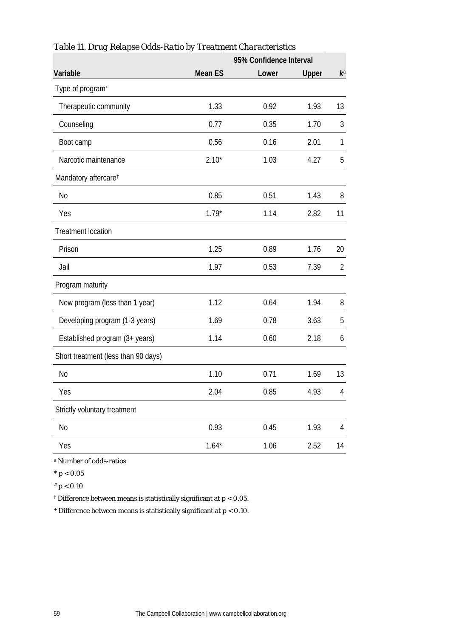|                                     | 95% Confidence Interval |       |       |                |  |  |
|-------------------------------------|-------------------------|-------|-------|----------------|--|--|
| Variable                            | <b>Mean ES</b>          | Lower | Upper | $k^a$          |  |  |
| Type of program+                    |                         |       |       |                |  |  |
| Therapeutic community               | 1.33                    | 0.92  | 1.93  | 13             |  |  |
| Counseling                          | 0.77                    | 0.35  | 1.70  | 3              |  |  |
| Boot camp                           | 0.56                    | 0.16  | 2.01  | 1              |  |  |
| Narcotic maintenance                | $2.10*$                 | 1.03  | 4.27  | 5              |  |  |
| Mandatory aftercare <sup>t</sup>    |                         |       |       |                |  |  |
| N <sub>0</sub>                      | 0.85                    | 0.51  | 1.43  | 8              |  |  |
| Yes                                 | $1.79*$                 | 1.14  | 2.82  | 11             |  |  |
| <b>Treatment location</b>           |                         |       |       |                |  |  |
| Prison                              | 1.25                    | 0.89  | 1.76  | 20             |  |  |
| Jail                                | 1.97                    | 0.53  | 7.39  | $\overline{2}$ |  |  |
| Program maturity                    |                         |       |       |                |  |  |
| New program (less than 1 year)      | 1.12                    | 0.64  | 1.94  | 8              |  |  |
| Developing program (1-3 years)      | 1.69                    | 0.78  | 3.63  | 5              |  |  |
| Established program (3+ years)      | 1.14                    | 0.60  | 2.18  | 6              |  |  |
| Short treatment (less than 90 days) |                         |       |       |                |  |  |
| No                                  | 1.10                    | 0.71  | 1.69  | 13             |  |  |
| Yes                                 | 2.04                    | 0.85  | 4.93  | 4              |  |  |
| Strictly voluntary treatment        |                         |       |       |                |  |  |
| No                                  | 0.93                    | 0.45  | 1.93  | $\overline{4}$ |  |  |
| Yes                                 | $1.64*$                 | 1.06  | 2.52  | 14             |  |  |
|                                     |                         |       |       |                |  |  |

*Table 11. Drug Relapse Odds-Ratio by Treatment Characteristics*

<sup>a</sup> Number of odds-ratios

 $*$   $p < 0.05$ 

 $# p < 0.10$ 

<sup>†</sup> Difference between means is statistically significant at  $p < 0.05$ .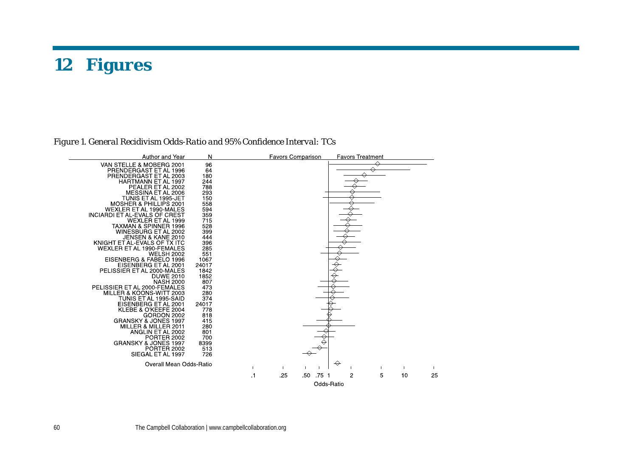# **12 Figures**

## *Figure 1. General Recidivism Odds-Ratio and 95% Confidence Interval: TCs*

| Author and Year                                                                                                                                                                                                                                                                                                                                                                                                                                                                                                                                                                                                                               | N                                                                                                                                                                |                | <b>Favors Comparison</b> |     |            | <b>Favors Treatment</b> |              |    |    |
|-----------------------------------------------------------------------------------------------------------------------------------------------------------------------------------------------------------------------------------------------------------------------------------------------------------------------------------------------------------------------------------------------------------------------------------------------------------------------------------------------------------------------------------------------------------------------------------------------------------------------------------------------|------------------------------------------------------------------------------------------------------------------------------------------------------------------|----------------|--------------------------|-----|------------|-------------------------|--------------|----|----|
| VAN STELLE & MOBERG 2001<br>PRENDERGAST ET AL 1996<br>PRENDERGAST ET AL 2003<br>HARTMANN ET AL 1997<br>PEALER ET AL 2002<br>MESSINA ET AL 2006<br>TUNIS ET AL 1995-JET<br>MOSHER & PHILLIPS 2001<br>WEXLER ET AL 1990-MALES<br>INCIARDI ET AL EVALS OF CREST<br><b>WEXLER ET AL 1999</b><br>TAXMAN & SPINNER 1996<br>WINESBURG ET AL 2002<br>JENSEN & KANE 2010<br>KNIGHT ET AL-EVALS OF TX ITC<br><b>WEXLER ET AL 1990 FEMALES</b><br><b>WELSH 2002</b><br>EISENBERG & FABELO 1996<br>EISENBERG ET AL 2001<br>PELISSIER ET AL 2000-MALES<br><b>DUWE 2010</b><br><b>NASH 2000</b><br>PELISSIER ET AL 2000-FEMALES<br>MILLER & KOONS-WITT 2003 | 96<br>64<br>180<br>244<br>788<br>293<br>150<br>558<br>594<br>359<br>715<br>528<br>399<br>444<br>396<br>285<br>551<br>1067<br>24017<br>1842<br>1852<br>807<br>473 |                |                          |     |            |                         |              |    |    |
| TUNIS ET AL 1995-SAID<br>EISENBERG ET AL 2001<br>KLEBE & O'KEEFE 2004<br>GORDON 2002<br>GRANSKY & JONES 1997<br>MILLER & MILLER 2011<br>ANGLIN ET AL 2002<br><b>PORTER 2002</b><br><b>GRANSKY &amp; JONES 1997</b><br><b>PORTER 2002</b><br>SIEGAL ET AL 1997<br>Overall Mean Odds-Ratio                                                                                                                                                                                                                                                                                                                                                      | 280<br>374<br>24017<br>778<br>818<br>415<br>280<br>801<br>700<br>8399<br>513<br>726                                                                              | $\overline{1}$ | $\blacksquare$           |     |            | ↔                       | $\mathbf{L}$ |    |    |
|                                                                                                                                                                                                                                                                                                                                                                                                                                                                                                                                                                                                                                               |                                                                                                                                                                  | . 1            | -25                      | .50 | .75 1      | 2                       | 5            | 10 | 25 |
|                                                                                                                                                                                                                                                                                                                                                                                                                                                                                                                                                                                                                                               |                                                                                                                                                                  |                |                          |     | Odds-Ratio |                         |              |    |    |
|                                                                                                                                                                                                                                                                                                                                                                                                                                                                                                                                                                                                                                               |                                                                                                                                                                  |                |                          |     |            |                         |              |    |    |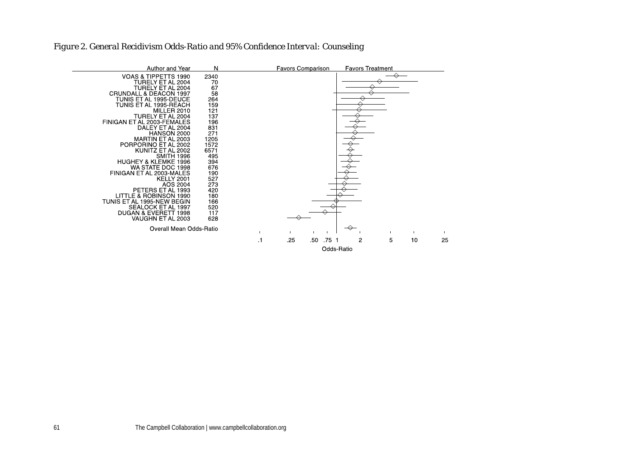| Author and Year                                                                                                                                                                                                                                                                                                                                                                                                                                                                                                                                                                                               | N                                                                                                                                                                                                                                | <b>Favors Comparison</b>              | <b>Favors Treatment</b> |          |
|---------------------------------------------------------------------------------------------------------------------------------------------------------------------------------------------------------------------------------------------------------------------------------------------------------------------------------------------------------------------------------------------------------------------------------------------------------------------------------------------------------------------------------------------------------------------------------------------------------------|----------------------------------------------------------------------------------------------------------------------------------------------------------------------------------------------------------------------------------|---------------------------------------|-------------------------|----------|
| VOAS & TIPPETTS 1990<br>TURELY ET AL 2004<br>TURELY ET AL 2004<br><b>CRUNDALL &amp; DEACON 1997</b><br>TUNIS ET AL 1995-DEUCE<br>TUNIS ET AL 1995-REACH<br>MILLER 2010<br>TURELY ET AL 2004<br>FINIGAN ET AL 2003-FEMALES<br>DALEY ET AL 2004<br>HANSON 2000<br>MARTIN ET AL 2003<br>PORPORINO ET AL 2002<br>KUNITZ ET AL 2002<br><b>SMITH 1996</b><br>HUGHEY & KLEMKE 1996<br>WA STATE DOC 1998<br>FINIGAN ET AL 2003 MALES<br><b>KELLY 2001</b><br>AOS 2004<br>PETERS ET AL 1993<br>LITTLE & ROBINSON 1990<br>TUNIS ET AL 1995-NEW BEGIN<br>SEALOCK ET AL 1997<br>DUGAN & EVERETT 1998<br>VAUGHN ET AL 2003 | 2340<br>$\begin{array}{c} 70 \\ 67 \\ 58 \\ 264 \end{array}$<br>$\frac{159}{121}$<br>137<br>196<br>831<br>271<br>1205<br>1572<br>6571<br>495<br>394<br>676<br>676<br>190<br>527<br>273<br>420<br>180<br>166<br>520<br>117<br>628 |                                       |                         |          |
| Overall Mean Odds-Ratio                                                                                                                                                                                                                                                                                                                                                                                                                                                                                                                                                                                       |                                                                                                                                                                                                                                  |                                       |                         |          |
|                                                                                                                                                                                                                                                                                                                                                                                                                                                                                                                                                                                                               |                                                                                                                                                                                                                                  | $-25$<br>75 <sub>1</sub><br>.50<br>.1 | 5<br>2                  | 25<br>10 |
|                                                                                                                                                                                                                                                                                                                                                                                                                                                                                                                                                                                                               |                                                                                                                                                                                                                                  |                                       | Odds-Ratio              |          |

## *Figure 2. General Recidivism Odds-Ratio and 95% Confidence Interval: Counseling*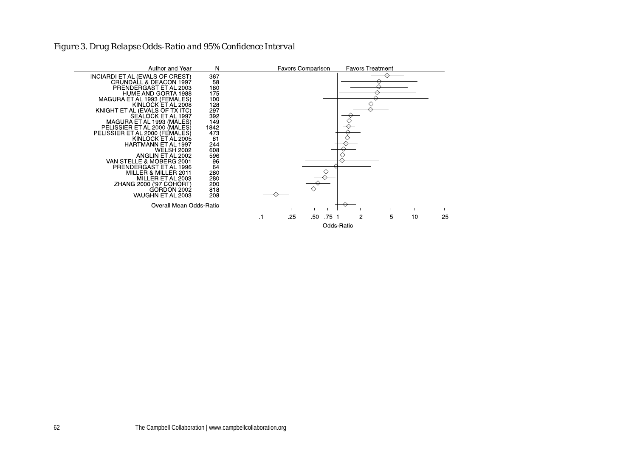### *Figure 3. Drug Relapse Odds-Ratio and 95% Confidence Interval*

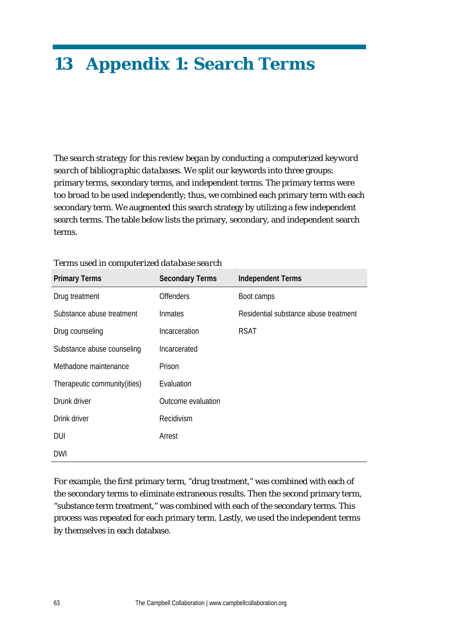# **13 Appendix 1: Search Terms**

*The search strategy for this review began by conducting a computerized keyword search of bibliographic databases.* We split our keywords into three groups: primary terms, secondary terms, and independent terms. The primary terms were too broad to be used independently; thus, we combined each primary term with each secondary term. We augmented this search strategy by utilizing a few independent search terms. The table below lists the primary, secondary, and independent search terms.

| <b>Primary Terms</b>          | <b>Secondary Terms</b> | <b>Independent Terms</b>              |
|-------------------------------|------------------------|---------------------------------------|
| Drug treatment                | <b>Offenders</b>       | Boot camps                            |
| Substance abuse treatment     | <b>Inmates</b>         | Residential substance abuse treatment |
| Drug counseling               | Incarceration          | <b>RSAT</b>                           |
| Substance abuse counseling    | Incarcerated           |                                       |
| Methadone maintenance         | Prison                 |                                       |
| Therapeutic community (ities) | Evaluation             |                                       |
| Drunk driver                  | Outcome evaluation     |                                       |
| Drink driver                  | Recidivism             |                                       |
| DUI                           | Arrest                 |                                       |
| <b>DWI</b>                    |                        |                                       |

## *Terms used in computerized database search*

For example, the first primary term, "drug treatment," was combined with each of the secondary terms to eliminate extraneous results. Then the second primary term, "substance term treatment," was combined with each of the secondary terms. This process was repeated for each primary term. Lastly, we used the independent terms by themselves in each database.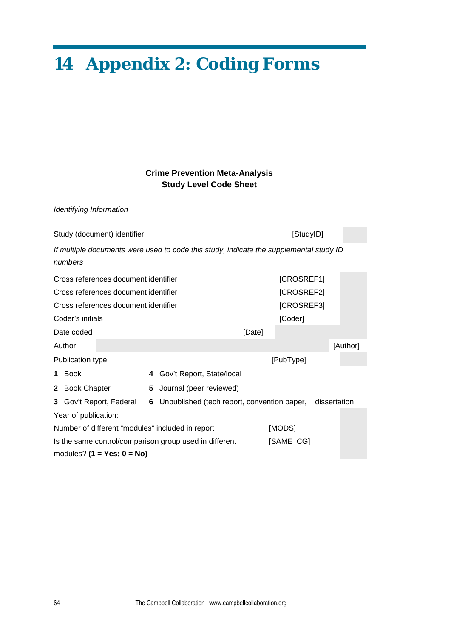# **14 Appendix 2: Coding Forms**

## **Crime Prevention Meta-Analysis Study Level Code Sheet**

*Identifying Information*

| Study (document) identifier<br>[StudyID]                            |                                      |   |                                                                                        |  |            |              |  |
|---------------------------------------------------------------------|--------------------------------------|---|----------------------------------------------------------------------------------------|--|------------|--------------|--|
|                                                                     | numbers                              |   | If multiple documents were used to code this study, indicate the supplemental study ID |  |            |              |  |
|                                                                     | Cross references document identifier |   |                                                                                        |  | [CROSREF1] |              |  |
|                                                                     | Cross references document identifier |   |                                                                                        |  | [CROSREF2] |              |  |
|                                                                     | Cross references document identifier |   |                                                                                        |  | [CROSREF3] |              |  |
|                                                                     | Coder's initials                     |   |                                                                                        |  | [Coder]    |              |  |
|                                                                     | Date coded                           |   | [Date]                                                                                 |  |            |              |  |
|                                                                     | Author:                              |   |                                                                                        |  |            | [Author]     |  |
|                                                                     | Publication type                     |   |                                                                                        |  | [PubType]  |              |  |
|                                                                     | <b>Book</b>                          | 4 | Gov't Report, State/local                                                              |  |            |              |  |
|                                                                     | 2 Book Chapter                       | 5 | Journal (peer reviewed)                                                                |  |            |              |  |
|                                                                     | 3 Gov't Report, Federal              | 6 | Unpublished (tech report, convention paper,                                            |  |            | dissertation |  |
|                                                                     | Year of publication:                 |   |                                                                                        |  |            |              |  |
| [MODS]<br>Number of different "modules" included in report          |                                      |   |                                                                                        |  |            |              |  |
| [SAME_CG]<br>Is the same control/comparison group used in different |                                      |   |                                                                                        |  |            |              |  |
|                                                                     | modules? $(1 = Yes; 0 = No)$         |   |                                                                                        |  |            |              |  |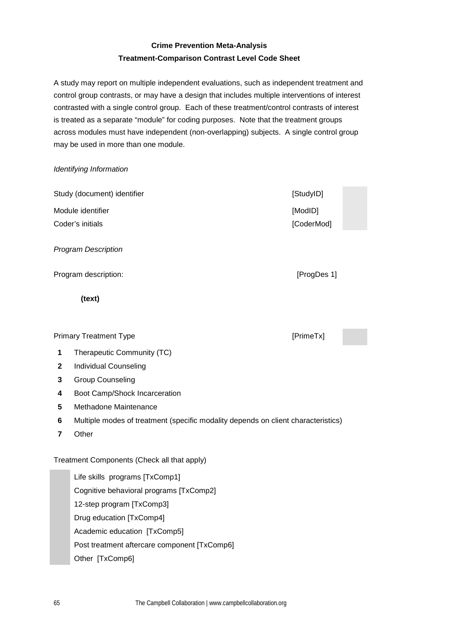## **Crime Prevention Meta-Analysis Treatment-Comparison Contrast Level Code Sheet**

A study may report on multiple independent evaluations, such as independent treatment and control group contrasts, or may have a design that includes multiple interventions of interest contrasted with a single control group. Each of these treatment/control contrasts of interest is treated as a separate "module" for coding purposes. Note that the treatment groups across modules must have independent (non-overlapping) subjects. A single control group may be used in more than one module.

#### *Identifying Information*

| Study (document) identifier           | [StudyID]             |
|---------------------------------------|-----------------------|
| Module identifier<br>Coder's initials | [ModID]<br>[CoderMod] |
| <b>Program Description</b>            |                       |

Program description: **[ProgDes 1]** 

**(text)**

### Primary Treatment Type **[PrimeTx]**

- **1** Therapeutic Community (TC)
- **2** Individual Counseling
- **3** Group Counseling
- **4** Boot Camp/Shock Incarceration
- **5** Methadone Maintenance
- **6** Multiple modes of treatment (specific modality depends on client characteristics)
- **7** Other

Treatment Components (Check all that apply)

Life skills programs [TxComp1] Cognitive behavioral programs [TxComp2] 12-step program [TxComp3] Drug education [TxComp4] Academic education [TxComp5] Post treatment aftercare component [TxComp6] Other [TxComp6]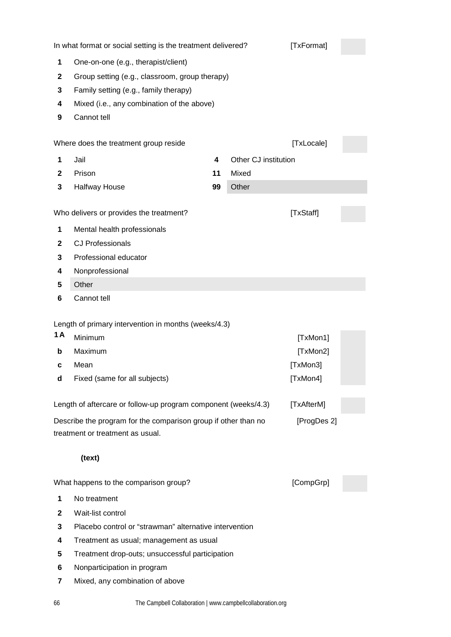|              | In what format or social setting is the treatment delivered?   |    |                      | [TxFormat]  |  |
|--------------|----------------------------------------------------------------|----|----------------------|-------------|--|
| 1            | One-on-one (e.g., therapist/client)                            |    |                      |             |  |
| $\mathbf{2}$ | Group setting (e.g., classroom, group therapy)                 |    |                      |             |  |
| 3            | Family setting (e.g., family therapy)                          |    |                      |             |  |
| 4            | Mixed (i.e., any combination of the above)                     |    |                      |             |  |
| 9            | Cannot tell                                                    |    |                      |             |  |
|              | Where does the treatment group reside                          |    |                      | [TxLocale]  |  |
| 1            | Jail                                                           | 4  | Other CJ institution |             |  |
| 2            | Prison                                                         | 11 | Mixed                |             |  |
| 3            | <b>Halfway House</b>                                           | 99 | Other                |             |  |
|              | Who delivers or provides the treatment?                        |    |                      | [TxStaff]   |  |
| 1            | Mental health professionals                                    |    |                      |             |  |
| $\mathbf{2}$ | <b>CJ Professionals</b>                                        |    |                      |             |  |
| 3            | Professional educator                                          |    |                      |             |  |
| 4            | Nonprofessional                                                |    |                      |             |  |
| 5            | Other                                                          |    |                      |             |  |
| 6            | Cannot tell                                                    |    |                      |             |  |
|              | Length of primary intervention in months (weeks/4.3)           |    |                      |             |  |
| 1A           | Minimum                                                        |    |                      | [TxMon1]    |  |
| b            | Maximum                                                        |    |                      | [TxMon2]    |  |
| c            | Mean                                                           |    |                      | [TxMon3]    |  |
| $\mathsf{d}$ | Fixed (same for all subjects)                                  |    |                      | [TxMon4]    |  |
|              |                                                                |    |                      |             |  |
|              | Length of aftercare or follow-up program component (weeks/4.3) |    |                      | [TxAfterM]  |  |
|              | Describe the program for the comparison group if other than no |    |                      | [ProgDes 2] |  |
|              | treatment or treatment as usual.                               |    |                      |             |  |
|              | (text)                                                         |    |                      |             |  |
|              | What happens to the comparison group?                          |    |                      | [CompGrp]   |  |
| 1            | No treatment                                                   |    |                      |             |  |
| $\mathbf{2}$ | Wait-list control                                              |    |                      |             |  |
| 3            | Placebo control or "strawman" alternative intervention         |    |                      |             |  |
| 4            | Treatment as usual; management as usual                        |    |                      |             |  |
| 5            | Treatment drop-outs; unsuccessful participation                |    |                      |             |  |
| 6            | Nonparticipation in program                                    |    |                      |             |  |
| 7            | Mixed, any combination of above                                |    |                      |             |  |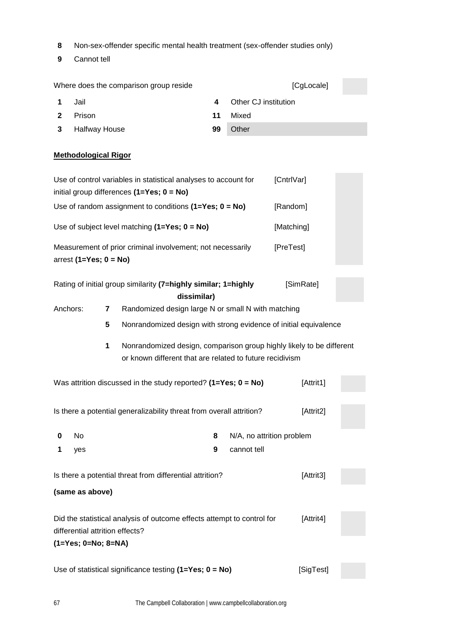- **8** Non-sex-offender specific mental health treatment (sex-offender studies only)
- **9** Cannot tell

|              |                                                                                                                                       |   | Where does the comparison group reside                                                                         |    |                           | [CgLocale] |  |
|--------------|---------------------------------------------------------------------------------------------------------------------------------------|---|----------------------------------------------------------------------------------------------------------------|----|---------------------------|------------|--|
| 1            | Jail                                                                                                                                  |   |                                                                                                                | 4  | Other CJ institution      |            |  |
| $\mathbf{2}$ | Prison                                                                                                                                |   |                                                                                                                | 11 | Mixed                     |            |  |
| 3            | <b>Halfway House</b>                                                                                                                  |   |                                                                                                                | 99 | Other                     |            |  |
|              |                                                                                                                                       |   |                                                                                                                |    |                           |            |  |
|              | <b>Methodological Rigor</b>                                                                                                           |   |                                                                                                                |    |                           |            |  |
|              |                                                                                                                                       |   | Use of control variables in statistical analyses to account for<br>initial group differences $(1=Yes; 0 = No)$ |    |                           | [CntrlVar] |  |
|              |                                                                                                                                       |   | Use of random assignment to conditions $(1=Yes; 0 = No)$                                                       |    |                           | [Random]   |  |
|              |                                                                                                                                       |   | Use of subject level matching $(1=Yes; 0 = No)$                                                                |    |                           | [Matching] |  |
|              | arrest $(1=Yes; 0 = No)$                                                                                                              |   | Measurement of prior criminal involvement; not necessarily                                                     |    |                           | [PreTest]  |  |
|              |                                                                                                                                       |   | Rating of initial group similarity (7=highly similar; 1=highly<br>dissimilar)                                  |    |                           | [SimRate]  |  |
|              | Anchors:                                                                                                                              | 7 | Randomized design large N or small N with matching                                                             |    |                           |            |  |
|              |                                                                                                                                       | 5 | Nonrandomized design with strong evidence of initial equivalence                                               |    |                           |            |  |
|              | 1<br>Nonrandomized design, comparison group highly likely to be different<br>or known different that are related to future recidivism |   |                                                                                                                |    |                           |            |  |
|              |                                                                                                                                       |   | Was attrition discussed in the study reported? $(1=Yes; 0 = No)$                                               |    |                           | [Attrit1]  |  |
|              |                                                                                                                                       |   | Is there a potential generalizability threat from overall attrition?                                           |    |                           | [Attrit2]  |  |
| 0            | No                                                                                                                                    |   |                                                                                                                | 8  | N/A, no attrition problem |            |  |
| 1            | yes                                                                                                                                   |   |                                                                                                                | 9  | cannot tell               |            |  |
|              |                                                                                                                                       |   | Is there a potential threat from differential attrition?                                                       |    |                           | [Attrit3]  |  |
|              | (same as above)                                                                                                                       |   |                                                                                                                |    |                           |            |  |
|              | differential attrition effects?<br>$(1=Yes; 0=No; 8=NA)$                                                                              |   | Did the statistical analysis of outcome effects attempt to control for                                         |    |                           | [Attrit4]  |  |
|              |                                                                                                                                       |   |                                                                                                                |    |                           |            |  |
|              |                                                                                                                                       |   | Use of statistical significance testing $(1=Yes; 0 = No)$                                                      |    |                           | [SigTest]  |  |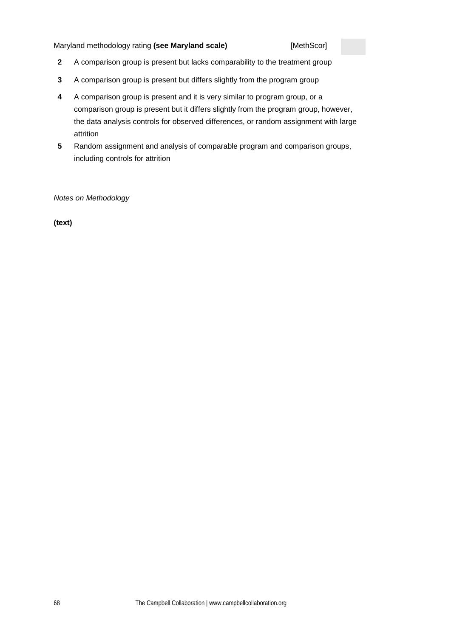### Maryland methodology rating (see Maryland scale) [MethScor]

- **2** A comparison group is present but lacks comparability to the treatment group
- **3** A comparison group is present but differs slightly from the program group
- **4** A comparison group is present and it is very similar to program group, or a comparison group is present but it differs slightly from the program group, however, the data analysis controls for observed differences, or random assignment with large attrition
- **5** Random assignment and analysis of comparable program and comparison groups, including controls for attrition

*Notes on Methodology*

**(text)**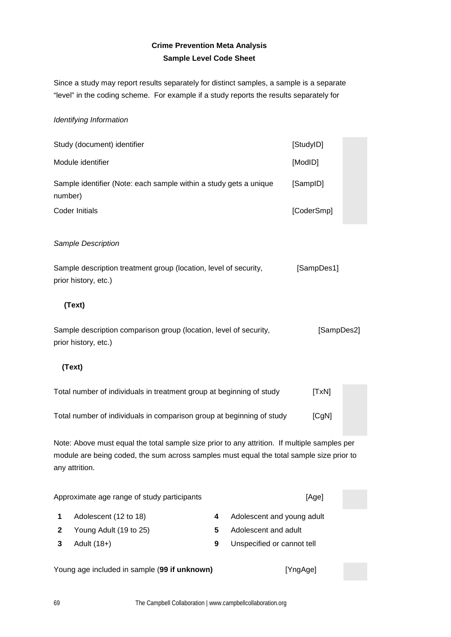## **Crime Prevention Meta Analysis Sample Level Code Sheet**

Since a study may report results separately for distinct samples, a sample is a separate "level" in the coding scheme. For example if a study reports the results separately for

### *Identifying Information*

| Study (document) identifier                                                  | [StudyID]  |  |
|------------------------------------------------------------------------------|------------|--|
| Module identifier                                                            | [ModID]    |  |
| Sample identifier (Note: each sample within a study gets a unique<br>number) | [SampID]   |  |
| Coder Initials                                                               | [CoderSmp] |  |

### *Sample Description*

Sample description treatment group (location, level of security, [SampDes1] prior history, etc.)

### **(Text)**

Sample description comparison group (location, level of security, [SampDes2] prior history, etc.)

### **(Text)**

| Total number of individuals in treatment group at beginning of study  | <b>ITxNI</b> |  |
|-----------------------------------------------------------------------|--------------|--|
| Total number of individuals in comparison group at beginning of study | [CqN]        |  |

Note: Above must equal the total sample size prior to any attrition. If multiple samples per module are being coded, the sum across samples must equal the total sample size prior to any attrition.

|   | Approximate age range of study participants  |   | [Age]                      |  |
|---|----------------------------------------------|---|----------------------------|--|
| 1 | Adolescent (12 to 18)                        | 4 | Adolescent and young adult |  |
|   | Young Adult (19 to 25)                       | 5 | Adolescent and adult       |  |
| 3 | Adult (18+)                                  | 9 | Unspecified or cannot tell |  |
|   |                                              |   |                            |  |
|   | Young age included in sample (99 if unknown) |   | [YngAge]                   |  |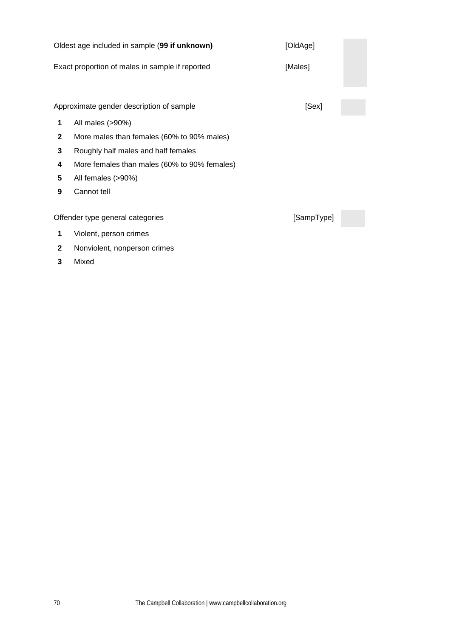|              | Oldest age included in sample (99 if unknown)<br>[OldAge] |            |  |  |  |  |
|--------------|-----------------------------------------------------------|------------|--|--|--|--|
|              | Exact proportion of males in sample if reported           | [Males]    |  |  |  |  |
|              |                                                           |            |  |  |  |  |
|              | Approximate gender description of sample                  | [Sex]      |  |  |  |  |
| 1            | All males (>90%)                                          |            |  |  |  |  |
| $\mathbf{2}$ | More males than females (60% to 90% males)                |            |  |  |  |  |
| 3            | Roughly half males and half females                       |            |  |  |  |  |
| 4            | More females than males (60% to 90% females)              |            |  |  |  |  |
| 5            | All females (>90%)                                        |            |  |  |  |  |
| 9            | Cannot tell                                               |            |  |  |  |  |
|              |                                                           |            |  |  |  |  |
|              | Offender type general categories                          | [SampType] |  |  |  |  |
| 1            | Violent, person crimes                                    |            |  |  |  |  |
| $\mathbf{2}$ | Nonviolent, nonperson crimes                              |            |  |  |  |  |
| 3            | Mixed                                                     |            |  |  |  |  |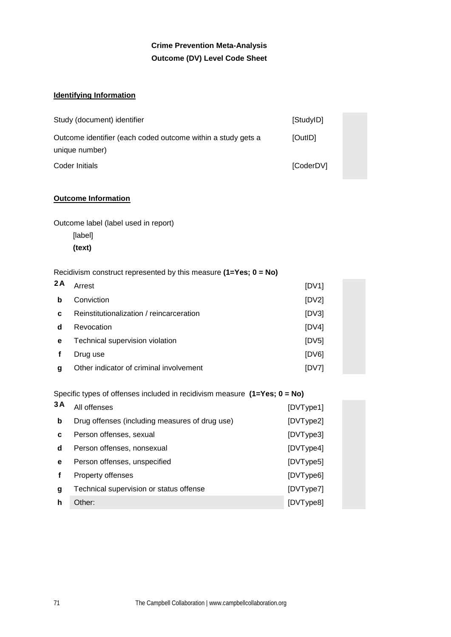## **Crime Prevention Meta-Analysis Outcome (DV) Level Code Sheet**

## **Identifying Information**

| Study (document) identifier                                                    | [StudyID] |  |
|--------------------------------------------------------------------------------|-----------|--|
| Outcome identifier (each coded outcome within a study gets a<br>unique number) | [OutlD]   |  |
| Coder Initials                                                                 | [CoderDV] |  |

## **Outcome Information**

Outcome label (label used in report)

[label]

**(text)**

| Recidivism construct represented by this measure $(1=Yes; 0 = No)$ |  |  |
|--------------------------------------------------------------------|--|--|
|--------------------------------------------------------------------|--|--|

| 2 A | Arrest                                   | [DV1] |  |
|-----|------------------------------------------|-------|--|
| b   | Conviction                               | [DV2] |  |
| C   | Reinstitutionalization / reincarceration | [DV3] |  |
| d   | Revocation                               | [DV4] |  |
| е   | Technical supervision violation          | [DV5] |  |
|     | Drug use                                 | [DV6] |  |
| g   | Other indicator of criminal involvement  | idv71 |  |

Specific types of offenses included in recidivism measure **(1=Yes; 0 = No)**

| 3 A | All offenses                                   | [DVType1]       |
|-----|------------------------------------------------|-----------------|
| b   | Drug offenses (including measures of drug use) | [DVType2]       |
| C   | Person offenses, sexual                        | [DVType3]       |
| d   | Person offenses, nonsexual                     | [DVType4]       |
| е   | Person offenses, unspecified                   | [DVType5]       |
|     | Property offenses                              | [DVType6]       |
| g   | Technical supervision or status offense        | [DVType7]       |
| h   | Other:                                         | <b>IDVType8</b> |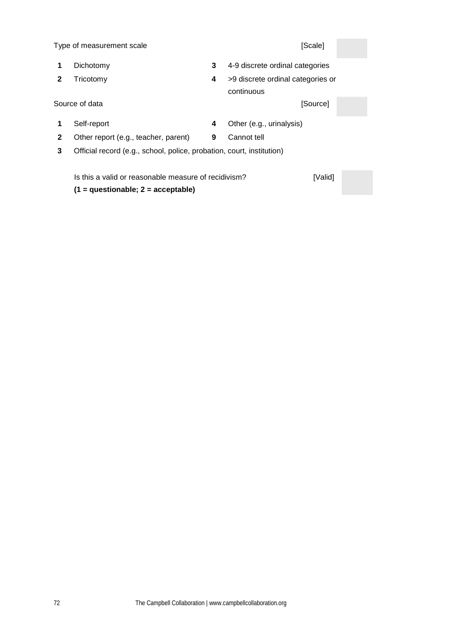| Type of measurement scale |                                                                       | [Scale] |                                   |
|---------------------------|-----------------------------------------------------------------------|---------|-----------------------------------|
|                           | Dichotomy                                                             | 3       | 4-9 discrete ordinal categories   |
| 2                         | Tricotomy                                                             | 4       | >9 discrete ordinal categories or |
|                           |                                                                       |         | continuous                        |
|                           | Source of data                                                        |         | [Source]                          |
|                           | Self-report                                                           | 4       | Other (e.g., urinalysis)          |
| $\mathbf{2}$              | Other report (e.g., teacher, parent)                                  | 9       | Cannot tell                       |
| 3                         | Official record (e.g., school, police, probation, court, institution) |         |                                   |
|                           |                                                                       |         |                                   |
|                           | Is this a valid or reasonable measure of recidivism?                  |         | [Valid]                           |
|                           | $(1 =$ questionable; $2 =$ acceptable)                                |         |                                   |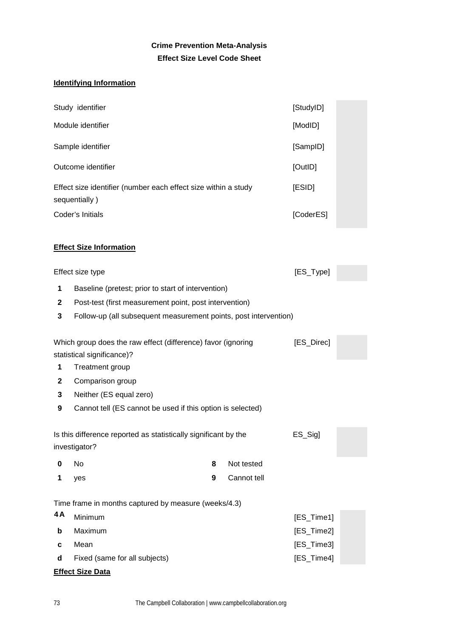## **Crime Prevention Meta-Analysis Effect Size Level Code Sheet**

## **Identifying Information**

|                                                                                 | Study identifier                                                                           |   |             | [StudyID]  |
|---------------------------------------------------------------------------------|--------------------------------------------------------------------------------------------|---|-------------|------------|
|                                                                                 | Module identifier                                                                          |   |             | [ModID]    |
|                                                                                 | Sample identifier                                                                          |   |             | [SampID]   |
|                                                                                 | Outcome identifier                                                                         |   |             | [OutlD]    |
| Effect size identifier (number each effect size within a study<br>sequentially) |                                                                                            |   | [ESID]      |            |
|                                                                                 | Coder's Initials                                                                           |   |             | [CoderES]  |
|                                                                                 | <b>Effect Size Information</b>                                                             |   |             |            |
|                                                                                 | Effect size type                                                                           |   |             | [ES_Type]  |
| 1                                                                               | Baseline (pretest; prior to start of intervention)                                         |   |             |            |
| $\mathbf{2}$                                                                    | Post-test (first measurement point, post intervention)                                     |   |             |            |
| 3                                                                               | Follow-up (all subsequent measurement points, post intervention)                           |   |             |            |
|                                                                                 | Which group does the raw effect (difference) favor (ignoring<br>statistical significance)? |   |             | [ES_Direc] |
| 1                                                                               | Treatment group                                                                            |   |             |            |
| $\mathbf{2}$                                                                    | Comparison group                                                                           |   |             |            |
| 3                                                                               | Neither (ES equal zero)                                                                    |   |             |            |
| 9                                                                               | Cannot tell (ES cannot be used if this option is selected)                                 |   |             |            |
|                                                                                 | Is this difference reported as statistically significant by the<br>investigator?           |   |             | ES_Sig]    |
| 0                                                                               | No                                                                                         | 8 | Not tested  |            |
| 1                                                                               | yes                                                                                        | 9 | Cannot tell |            |
|                                                                                 | Time frame in months captured by measure (weeks/4.3)                                       |   |             |            |
| 4A                                                                              | Minimum                                                                                    |   |             | [ES_Time1] |
| b                                                                               | Maximum                                                                                    |   |             | [ES_Time2] |
| c                                                                               | Mean                                                                                       |   |             | [ES_Time3] |
| d                                                                               | Fixed (same for all subjects)                                                              |   |             | [ES_Time4] |

## **Effect Size Data**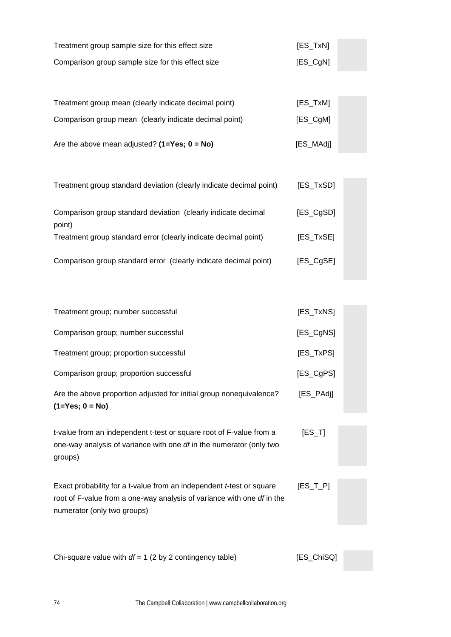| Treatment group sample size for this effect size  | [ES_TxN]   |  |
|---------------------------------------------------|------------|--|
| Comparison group sample size for this effect size | $[ES_CgN]$ |  |

| Treatment group mean (clearly indicate decimal point)  | [ES_TxM]   |  |
|--------------------------------------------------------|------------|--|
| Comparison group mean (clearly indicate decimal point) | $[ES_CgM]$ |  |
| Are the above mean adjusted? $(1=Yes; 0 = No)$         | [ES_MAdj]  |  |

| Treatment group standard deviation (clearly indicate decimal point)     | [ES_TxSD]   |  |
|-------------------------------------------------------------------------|-------------|--|
| Comparison group standard deviation (clearly indicate decimal<br>point) | $[ES_CgSD]$ |  |
| Treatment group standard error (clearly indicate decimal point)         | [ES TxSE]   |  |
| Comparison group standard error (clearly indicate decimal point)        | $[ES_CgSE]$ |  |

| Treatment group; number successful                                                                                                                                                    | [ES_TxNS]   |  |
|---------------------------------------------------------------------------------------------------------------------------------------------------------------------------------------|-------------|--|
| Comparison group; number successful                                                                                                                                                   | $[ES_CgNS]$ |  |
| Treatment group; proportion successful                                                                                                                                                | [ES_TxPS]   |  |
| Comparison group; proportion successful                                                                                                                                               | $[ES_CgPS]$ |  |
| Are the above proportion adjusted for initial group nonequivalence?<br>$(1 = Yes; 0 = No)$                                                                                            | [ES_PAdj]   |  |
| t-value from an independent t-test or square root of F-value from a<br>one-way analysis of variance with one df in the numerator (only two<br>groups)                                 | $[ES_T]$    |  |
| Exact probability for a t-value from an independent <i>t</i> -test or square<br>root of F-value from a one-way analysis of variance with one of in the<br>numerator (only two groups) | $[ES_T_P]$  |  |

Chi-square value with  $df = 1$  (2 by 2 contingency table) [ES\_ChiSQ]